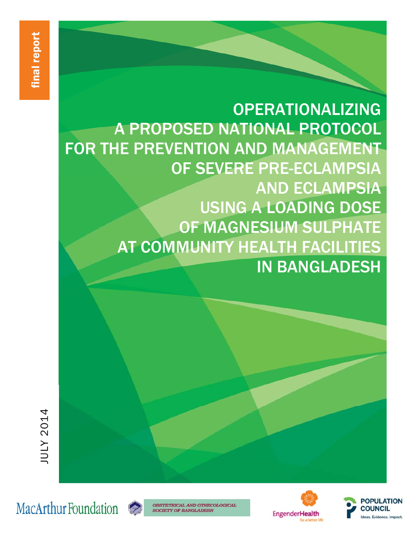OPERATIONALIZING A PROPOSED NATIONAL PROTOCOL FOR THE PREVENTION AND MANAGEMENT OF SEVERE PRE-ECLAMPSIA AND ECLAMPSIA USING A LOADING DOSE OF MAGNESIUM SULPHATE AT COMMUNITY HEALTH FACILITIES IN BANGLADESH





**OBSTETRICAL AND GYNECOLOGICAL SOCIETY OF BANGLADESH** 



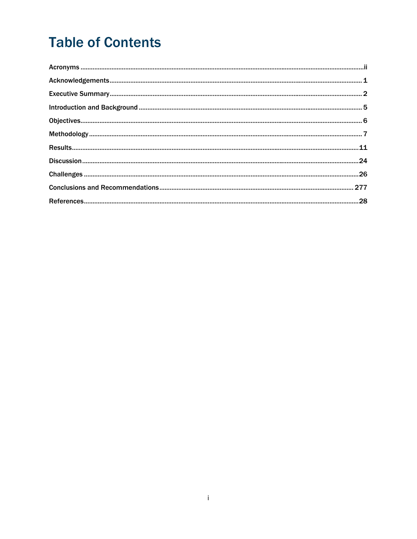# **Table of Contents**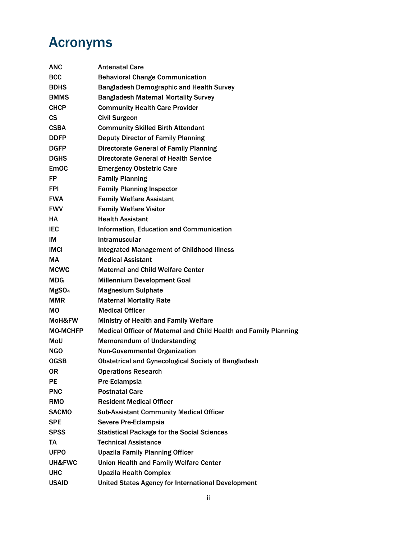# Acronyms

| ANC               | <b>Antenatal Care</b>                                            |
|-------------------|------------------------------------------------------------------|
| <b>BCC</b>        | <b>Behavioral Change Communication</b>                           |
| <b>BDHS</b>       | <b>Bangladesh Demographic and Health Survey</b>                  |
| <b>BMMS</b>       | <b>Bangladesh Maternal Mortality Survey</b>                      |
| CHCP              | <b>Community Health Care Provider</b>                            |
| СS                | <b>Civil Surgeon</b>                                             |
| <b>CSBA</b>       | <b>Community Skilled Birth Attendant</b>                         |
| <b>DDFP</b>       | <b>Deputy Director of Family Planning</b>                        |
| <b>DGFP</b>       | <b>Directorate General of Family Planning</b>                    |
| <b>DGHS</b>       | <b>Directorate General of Health Service</b>                     |
| <b>EmOC</b>       | <b>Emergency Obstetric Care</b>                                  |
| FP                | <b>Family Planning</b>                                           |
| FPI               | <b>Family Planning Inspector</b>                                 |
| <b>FWA</b>        | <b>Family Welfare Assistant</b>                                  |
| <b>FWV</b>        | <b>Family Welfare Visitor</b>                                    |
| HA                | <b>Health Assistant</b>                                          |
| IEC               | <b>Information, Education and Communication</b>                  |
| IM                | Intramuscular                                                    |
| <b>IMCI</b>       | <b>Integrated Management of Childhood Illness</b>                |
| MА                | <b>Medical Assistant</b>                                         |
| <b>MCWC</b>       | <b>Maternal and Child Welfare Center</b>                         |
| MDG               | <b>Millennium Development Goal</b>                               |
| MgSO <sub>4</sub> | <b>Magnesium Sulphate</b>                                        |
| MMR               | <b>Maternal Mortality Rate</b>                                   |
| МO                | <b>Medical Officer</b>                                           |
| MoH&FW            | Ministry of Health and Family Welfare                            |
| <b>MO-MCHFP</b>   | Medical Officer of Maternal and Child Health and Family Planning |
| MoU               | <b>Memorandum of Understanding</b>                               |
| <b>NGO</b>        | <b>Non-Governmental Organization</b>                             |
| <b>OGSB</b>       | <b>Obstetrical and Gynecological Society of Bangladesh</b>       |
| 0R                | <b>Operations Research</b>                                       |
| PE                | Pre-Eclampsia                                                    |
| <b>PNC</b>        | <b>Postnatal Care</b>                                            |
| RMO               | <b>Resident Medical Officer</b>                                  |
| <b>SACMO</b>      | <b>Sub-Assistant Community Medical Officer</b>                   |
| <b>SPE</b>        | Severe Pre-Eclampsia                                             |
| SPSS              | <b>Statistical Package for the Social Sciences</b>               |
| TA                | <b>Technical Assistance</b>                                      |
| <b>UFPO</b>       | <b>Upazila Family Planning Officer</b>                           |
| UH&FWC            | Union Health and Family Welfare Center                           |
| UHC               | <b>Upazila Health Complex</b>                                    |
| USAID             | United States Agency for International Development               |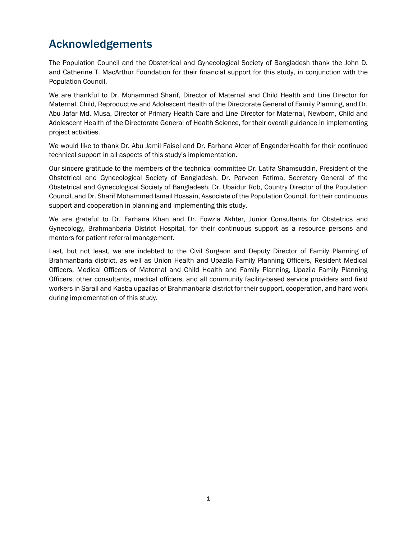# Acknowledgements

The Population Council and the Obstetrical and Gynecological Society of Bangladesh thank the John D. and Catherine T. MacArthur Foundation for their financial support for this study, in conjunction with the Population Council.

We are thankful to Dr. Mohammad Sharif, Director of Maternal and Child Health and Line Director for Maternal, Child, Reproductive and Adolescent Health of the Directorate General of Family Planning, and Dr. Abu Jafar Md. Musa, Director of Primary Health Care and Line Director for Maternal, Newborn, Child and Adolescent Health of the Directorate General of Health Science, for their overall guidance in implementing project activities.

We would like to thank Dr. Abu Jamil Faisel and Dr. Farhana Akter of EngenderHealth for their continued technical support in all aspects of this study's implementation.

Our sincere gratitude to the members of the technical committee Dr. Latifa Shamsuddin, President of the Obstetrical and Gynecological Society of Bangladesh, Dr. Parveen Fatima, Secretary General of the Obstetrical and Gynecological Society of Bangladesh, Dr. Ubaidur Rob, Country Director of the Population Council, and Dr. Sharif Mohammed Ismail Hossain, Associate of the Population Council, for their continuous support and cooperation in planning and implementing this study.

We are grateful to Dr. Farhana Khan and Dr. Fowzia Akhter, Junior Consultants for Obstetrics and Gynecology, Brahmanbaria District Hospital, for their continuous support as a resource persons and mentors for patient referral management.

Last, but not least, we are indebted to the Civil Surgeon and Deputy Director of Family Planning of Brahmanbaria district, as well as Union Health and Upazila Family Planning Officers, Resident Medical Officers, Medical Officers of Maternal and Child Health and Family Planning, Upazila Family Planning Officers, other consultants, medical officers, and all community facility-based service providers and field workers in Sarail and Kasba upazilas of Brahmanbaria district for their support, cooperation, and hard work during implementation of this study.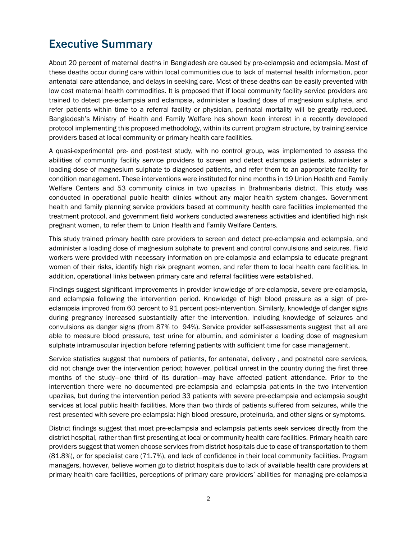### Executive Summary

About 20 percent of maternal deaths in Bangladesh are caused by pre-eclampsia and eclampsia. Most of these deaths occur during care within local communities due to lack of maternal health information, poor antenatal care attendance, and delays in seeking care. Most of these deaths can be easily prevented with low cost maternal health commodities. It is proposed that if local community facility service providers are trained to detect pre-eclampsia and eclampsia, administer a loading dose of magnesium sulphate, and refer patients within time to a referral facility or physician, perinatal mortality will be greatly reduced. Bangladesh's Ministry of Health and Family Welfare has shown keen interest in a recently developed protocol implementing this proposed methodology, within its current program structure, by training service providers based at local community or primary health care facilities.

A quasi-experimental pre- and post-test study, with no control group, was implemented to assess the abilities of community facility service providers to screen and detect eclampsia patients, administer a loading dose of magnesium sulphate to diagnosed patients, and refer them to an appropriate facility for condition management. These interventions were instituted for nine months in 19 Union Health and Family Welfare Centers and 53 community clinics in two upazilas in Brahmanbaria district. This study was conducted in operational public health clinics without any major health system changes. Government health and family planning service providers based at community health care facilities implemented the treatment protocol, and government field workers conducted awareness activities and identified high risk pregnant women, to refer them to Union Health and Family Welfare Centers.

This study trained primary health care providers to screen and detect pre-eclampsia and eclampsia, and administer a loading dose of magnesium sulphate to prevent and control convulsions and seizures. Field workers were provided with necessary information on pre-eclampsia and eclampsia to educate pregnant women of their risks, identify high risk pregnant women, and refer them to local health care facilities. In addition, operational links between primary care and referral facilities were established.

Findings suggest significant improvements in provider knowledge of pre-eclampsia, severe pre-eclampsia, and eclampsia following the intervention period. Knowledge of high blood pressure as a sign of preeclampsia improved from 60 percent to 91 percent post-intervention. Similarly, knowledge of danger signs during pregnancy increased substantially after the intervention, including knowledge of seizures and convulsions as danger signs (from 87% to 94%). Service provider self-assessments suggest that all are able to measure blood pressure, test urine for albumin, and administer a loading dose of magnesium sulphate intramuscular injection before referring patients with sufficient time for case management.

Service statistics suggest that numbers of patients, for antenatal, delivery , and postnatal care services, did not change over the intervention period; however, political unrest in the country during the first three months of the study—one third of its duration—may have affected patient attendance. Prior to the intervention there were no documented pre-eclampsia and eclampsia patients in the two intervention upazilas, but during the intervention period 33 patients with severe pre-eclampsia and eclampsia sought services at local public health facilities. More than two thirds of patients suffered from seizures, while the rest presented with severe pre-eclampsia: high blood pressure, proteinuria, and other signs or symptoms.

District findings suggest that most pre-eclampsia and eclampsia patients seek services directly from the district hospital, rather than first presenting at local or community health care facilities. Primary health care providers suggest that women choose services from district hospitals due to ease of transportation to them (81.8%), or for specialist care (71.7%), and lack of confidence in their local community facilities. Program managers, however, believe women go to district hospitals due to lack of available health care providers at primary health care facilities, perceptions of primary care providers' abilities for managing pre-eclampsia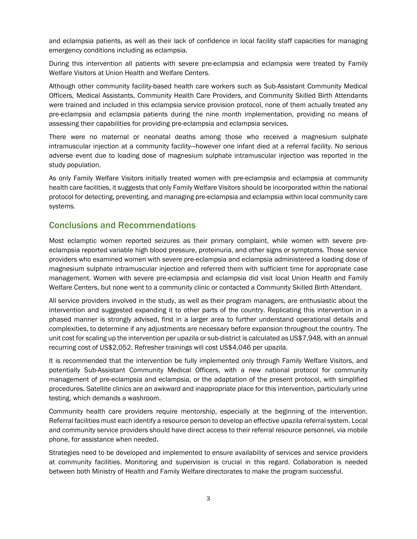and eclampsia patients, as well as their lack of confidence in local facility staff capacities for managing emergency conditions including as eclampsia.

During this intervention all patients with severe pre-eclampsia and eclampsia were treated by Family Welfare Visitors at Union Health and Welfare Centers.

Although other community facility-based health care workers such as Sub-Assistant Community Medical Officers, Medical Assistants, Community Health Care Providers, and Community Skilled Birth Attendants were trained and included in this eclampsia service provision protocol, none of them actually treated any pre-eclampsia and eclampsia patients during the nine month implementation, providing no means of assessing their capabilities for providing pre-eclampsia and eclampsia services.

There were no maternal or neonatal deaths among those who received a magnesium sulphate intramuscular injection at a community facility—however one infant died at a referral facility. No serious adverse event due to loading dose of magnesium sulphate intramuscular injection was reported in the study population.

As only Family Welfare Visitors initially treated women with pre-eclampsia and eclampsia at community health care facilities, it suggests that only Family Welfare Visitors should be incorporated within the national protocol for detecting, preventing, and managing pre-eclampsia and eclampsia within local community care systems.

#### Conclusions and Recommendations

Most eclamptic women reported seizures as their primary complaint, while women with severe preeclampsia reported variable high blood pressure, proteinuria, and other signs or symptoms. Those service providers who examined women with severe pre-eclampsia and eclampsia administered a loading dose of magnesium sulphate intramuscular injection and referred them with sufficient time for appropriate case management. Women with severe pre-eclampsia and eclampsia did visit local Union Health and Family Welfare Centers, but none went to a community clinic or contacted a Community Skilled Birth Attendant.

All service providers involved in the study, as well as their program managers, are enthusiastic about the intervention and suggested expanding it to other parts of the country. Replicating this intervention in a phased manner is strongly advised, first in a larger area to further understand operational details and complexities, to determine if any adjustments are necessary before expansion throughout the country. The unit cost for scaling up the intervention per upazila or sub-district is calculated as US\$7,948, with an annual recurring cost of US\$2,052. Refresher trainings will cost US\$4,046 per upazila.

It is recommended that the intervention be fully implemented only through Family Welfare Visitors, and potentially Sub-Assistant Community Medical Officers, with a new national protocol for community management of pre-eclampsia and eclampsia, or the adaptation of the present protocol, with simplified procedures. Satellite clinics are an awkward and inappropriate place for this intervention, particularly urine testing, which demands a washroom.

Community health care providers require mentorship, especially at the beginning of the intervention. Referral facilities must each identify a resource person to develop an effective upazila referral system. Local and community service providers should have direct access to their referral resource personnel, via mobile phone, for assistance when needed.

Strategies need to be developed and implemented to ensure availability of services and service providers at community facilities. Monitoring and supervision is crucial in this regard. Collaboration is needed between both Ministry of Health and Family Welfare directorates to make the program successful.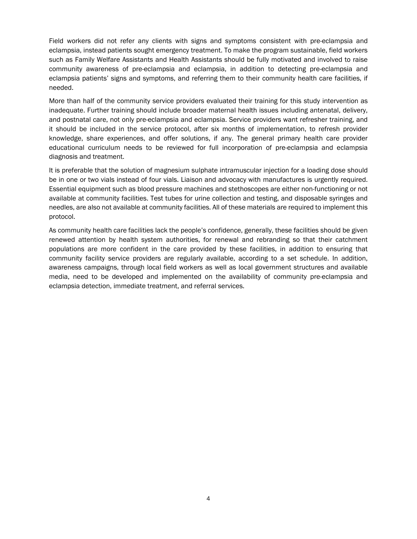Field workers did not refer any clients with signs and symptoms consistent with pre-eclampsia and eclampsia, instead patients sought emergency treatment. To make the program sustainable, field workers such as Family Welfare Assistants and Health Assistants should be fully motivated and involved to raise community awareness of pre-eclampsia and eclampsia, in addition to detecting pre-eclampsia and eclampsia patients' signs and symptoms, and referring them to their community health care facilities, if needed.

More than half of the community service providers evaluated their training for this study intervention as inadequate. Further training should include broader maternal health issues including antenatal, delivery, and postnatal care, not only pre-eclampsia and eclampsia. Service providers want refresher training, and it should be included in the service protocol, after six months of implementation, to refresh provider knowledge, share experiences, and offer solutions, if any. The general primary health care provider educational curriculum needs to be reviewed for full incorporation of pre-eclampsia and eclampsia diagnosis and treatment.

It is preferable that the solution of magnesium sulphate intramuscular injection for a loading dose should be in one or two vials instead of four vials. Liaison and advocacy with manufactures is urgently required. Essential equipment such as blood pressure machines and stethoscopes are either non-functioning or not available at community facilities. Test tubes for urine collection and testing, and disposable syringes and needles, are also not available at community facilities. All of these materials are required to implement this protocol.

As community health care facilities lack the people's confidence, generally, these facilities should be given renewed attention by health system authorities, for renewal and rebranding so that their catchment populations are more confident in the care provided by these facilities, in addition to ensuring that community facility service providers are regularly available, according to a set schedule. In addition, awareness campaigns, through local field workers as well as local government structures and available media, need to be developed and implemented on the availability of community pre-eclampsia and eclampsia detection, immediate treatment, and referral services.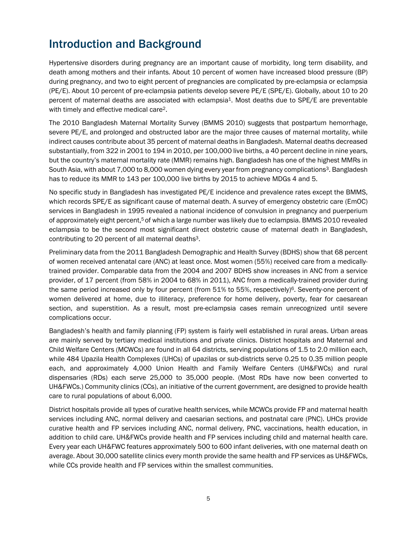## Introduction and Background

Hypertensive disorders during pregnancy are an important cause of morbidity, long term disability, and death among mothers and their infants. About 10 percent of women have increased blood pressure (BP) during pregnancy, and two to eight percent of pregnancies are complicated by pre-eclampsia or eclampsia (PE/E). About 10 percent of pre-eclampsia patients develop severe PE/E (SPE/E). Globally, about 10 to 20 percent of maternal deaths are associated with eclampsia<sup>1</sup>. Most deaths due to SPE/E are preventable with timely and effective medical care2.

The 2010 Bangladesh Maternal Mortality Survey (BMMS 2010) suggests that postpartum hemorrhage, severe PE/E, and prolonged and obstructed labor are the major three causes of maternal mortality, while indirect causes contribute about 35 percent of maternal deaths in Bangladesh. Maternal deaths decreased substantially, from 322 in 2001 to 194 in 2010, per 100,000 live births, a 40 percent decline in nine years, but the country's maternal mortality rate (MMR) remains high. Bangladesh has one of the highest MMRs in South Asia, with about 7,000 to 8,000 women dying every year from pregnancy complications<sup>3</sup>. Bangladesh has to reduce its MMR to 143 per 100,000 live births by 2015 to achieve MDGs 4 and 5.

No specific study in Bangladesh has investigated PE/E incidence and prevalence rates except the BMMS, which records SPE/E as significant cause of maternal death. A survey of emergency obstetric care (EmOC) services in Bangladesh in 1995 revealed a national incidence of convulsion in pregnancy and puerperium of approximately eight percent,<sup>5</sup> of which a large number was likely due to eclampsia. BMMS 2010 revealed eclampsia to be the second most significant direct obstetric cause of maternal death in Bangladesh, contributing to 20 percent of all maternal deaths<sup>3</sup>.

Preliminary data from the 2011 Bangladesh Demographic and Health Survey (BDHS) show that 68 percent of women received antenatal care (ANC) at least once. Most women (55%) received care from a medicallytrained provider. Comparable data from the 2004 and 2007 BDHS show increases in ANC from a service provider, of 17 percent (from 58% in 2004 to 68% in 2011), ANC from a medically-trained provider during the same period increased only by four percent (from  $51\%$  to  $55\%$ , respectively)<sup>6</sup>. Seventy-one percent of women delivered at home, due to illiteracy, preference for home delivery, poverty, fear for caesarean section, and superstition. As a result, most pre-eclampsia cases remain unrecognized until severe complications occur.

Bangladesh's health and family planning (FP) system is fairly well established in rural areas. Urban areas are mainly served by tertiary medical institutions and private clinics. District hospitals and Maternal and Child Welfare Centers (MCWCs) are found in all 64 districts, serving populations of 1.5 to 2.0 million each, while 484 Upazila Health Complexes (UHCs) of upazilas or sub-districts serve 0.25 to 0.35 million people each, and approximately 4,000 Union Health and Family Welfare Centers (UH&FWCs) and rural dispensaries (RDs) each serve 25,000 to 35,000 people. (Most RDs have now been converted to UH&FWCs.) Community clinics (CCs), an initiative of the current government, are designed to provide health care to rural populations of about 6,000.

District hospitals provide all types of curative health services, while MCWCs provide FP and maternal health services including ANC, normal delivery and caesarian sections, and postnatal care (PNC). UHCs provide curative health and FP services including ANC, normal delivery, PNC, vaccinations, health education, in addition to child care. UH&FWCs provide health and FP services including child and maternal health care. Every year each UH&FWC features approximately 500 to 600 infant deliveries, with one maternal death on average. About 30,000 satellite clinics every month provide the same health and FP services as UH&FWCs, while CCs provide health and FP services within the smallest communities.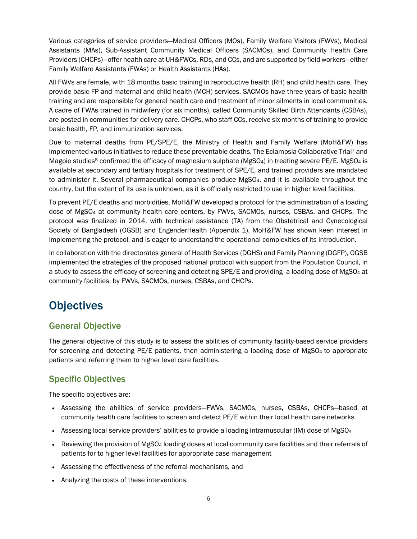Various categories of service providers—Medical Officers (MOs), Family Welfare Visitors (FWVs), Medical Assistants (MAs), Sub-Assistant Community Medical Officers (SACMOs), and Community Health Care Providers (CHCPs)—offer health care at UH&FWCs, RDs, and CCs, and are supported by field workers—either Family Welfare Assistants (FWAs) or Health Assistants (HAs).

All FWVs are female, with 18 months basic training in reproductive health (RH) and child health care. They provide basic FP and maternal and child health (MCH) services. SACMOs have three years of basic health training and are responsible for general health care and treatment of minor ailments in local communities. A cadre of FWAs trained in midwifery (for six months), called Community Skilled Birth Attendants (CSBAs), are posted in communities for delivery care. CHCPs, who staff CCs, receive six months of training to provide basic health, FP, and immunization services.

Due to maternal deaths from PE/SPE/E, the Ministry of Health and Family Welfare (MoH&FW) has implemented various initiatives to reduce these preventable deaths. The Eclampsia Collaborative Trial<sup>7</sup> and Magpie studies<sup>8</sup> confirmed the efficacy of magnesium sulphate (MgSO<sub>4</sub>) in treating severe PE/E. MgSO<sub>4</sub> is available at secondary and tertiary hospitals for treatment of SPE/E, and trained providers are mandated to administer it. Several pharmaceutical companies produce MgSO<sub>4</sub>, and it is available throughout the country, but the extent of its use is unknown, as it is officially restricted to use in higher level facilities.

To prevent PE/E deaths and morbidities, MoH&FW developed a protocol for the administration of a loading dose of MgSO4 at community health care centers, by FWVs, SACMOs, nurses, CSBAs, and CHCPs. The protocol was finalized in 2014, with technical assistance (TA) from the Obstetrical and Gynecological Society of Bangladesh (OGSB) and EngenderHealth (Appendix 1). MoH&FW has shown keen interest in implementing the protocol, and is eager to understand the operational complexities of its introduction.

In collaboration with the directorates general of Health Services (DGHS) and Family Planning (DGFP), OGSB implemented the strategies of the proposed national protocol with support from the Population Council, in a study to assess the efficacy of screening and detecting SPE/E and providing a loading dose of MgSO4 at community facilities, by FWVs, SACMOs, nurses, CSBAs, and CHCPs.

# **Objectives**

#### General Objective

The general objective of this study is to assess the abilities of community facility-based service providers for screening and detecting PE/E patients, then administering a loading dose of MgSO<sub>4</sub> to appropriate patients and referring them to higher level care facilities.

#### Specific Objectives

The specific objectives are:

- Assessing the abilities of service providers—FWVs, SACMOs, nurses, CSBAs, CHCPs—based at community health care facilities to screen and detect PE/E within their local health care networks
- Assessing local service providers' abilities to provide a loading intramuscular (IM) dose of MgSO<sub>4</sub>
- Reviewing the provision of MgSO<sub>4</sub> loading doses at local community care facilities and their referrals of patients for to higher level facilities for appropriate case management
- Assessing the effectiveness of the referral mechanisms, and
- Analyzing the costs of these interventions.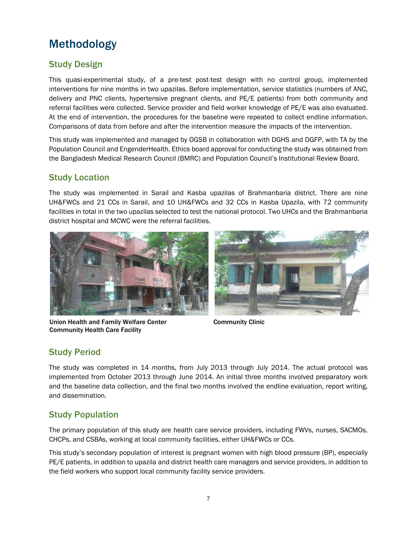# Methodology

#### Study Design

This quasi-experimental study, of a pre-test post-test design with no control group, implemented interventions for nine months in two upazilas. Before implementation, service statistics (numbers of ANC, delivery and PNC clients, hypertensive pregnant clients, and PE/E patients) from both community and referral facilities were collected. Service provider and field worker knowledge of PE/E was also evaluated. At the end of intervention, the procedures for the baseline were repeated to collect endline information. Comparisons of data from before and after the intervention measure the impacts of the intervention.

This study was implemented and managed by OGSB in collaboration with DGHS and DGFP, with TA by the Population Council and EngenderHealth. Ethics board approval for conducting the study was obtained from the Bangladesh Medical Research Council (BMRC) and Population Council's Institutional Review Board.

#### Study Location

The study was implemented in Sarail and Kasba upazilas of Brahmanbaria district. There are nine UH&FWCs and 21 CCs in Sarail, and 10 UH&FWCs and 32 CCs in Kasba Upazila, with 72 community facilities in total in the two upazilas selected to test the national protocol. Two UHCs and the Brahmanbaria district hospital and MCWC were the referral facilities.



Union Health and Family Welfare Center Community Health Care Facility



Community Clinic

#### Study Period

The study was completed in 14 months, from July 2013 through July 2014. The actual protocol was implemented from October 2013 through June 2014. An initial three months involved preparatory work and the baseline data collection, and the final two months involved the endline evaluation, report writing, and dissemination.

#### Study Population

The primary population of this study are health care service providers, including FWVs, nurses, SACMOs, CHCPs, and CSBAs, working at local community facilities, either UH&FWCs or CCs.

This study's secondary population of interest is pregnant women with high blood pressure (BP), especially PE/E patients, in addition to upazila and district health care managers and service providers, in addition to the field workers who support local community facility service providers.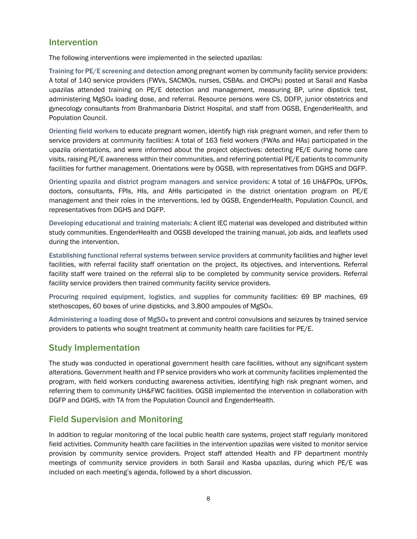#### Intervention

The following interventions were implemented in the selected upazilas:

Training for PE/E screening and detection among pregnant women by community facility service providers: A total of 140 service providers (FWVs, SACMOs, nurses, CSBAs. and CHCPs) posted at Sarail and Kasba upazilas attended training on PE/E detection and management, measuring BP, urine dipstick test, administering MgSO4 loading dose, and referral. Resource persons were CS, DDFP, junior obstetrics and gynecology consultants from Brahmanbaria District Hospital, and staff from OGSB, EngenderHealth, and Population Council.

Orienting field workers to educate pregnant women, identify high risk pregnant women, and refer them to service providers at community facilities: A total of 163 field workers (FWAs and HAs) participated in the upazila orientations, and were informed about the project objectives: detecting PE/E during home care visits, raising PE/E awareness within their communities, and referring potential PE/E patients to community facilities for further management. Orientations were by OGSB, with representatives from DGHS and DGFP.

Orienting upazila and district program managers and service providers: A total of 16 UH&FPOs, UFPOs, doctors, consultants, FPIs, HIs, and AHIs participated in the district orientation program on PE/E management and their roles in the interventions, led by OGSB, EngenderHealth, Population Council, and representatives from DGHS and DGFP.

Developing educational and training materials: A client IEC material was developed and distributed within study communities. EngenderHealth and OGSB developed the training manual, job aids, and leaflets used during the intervention.

Establishing functional referral systems between service providers at community facilities and higher level facilities, with referral facility staff orientation on the project, its objectives, and interventions. Referral facility staff were trained on the referral slip to be completed by community service providers. Referral facility service providers then trained community facility service providers.

Procuring required equipment, logistics, and supplies for community facilities: 69 BP machines, 69 stethoscopes, 60 boxes of urine dipsticks, and 3,800 ampoules of MgSO4.

Administering a loading dose of MgSO4 to prevent and control convulsions and seizures by trained service providers to patients who sought treatment at community health care facilities for PE/E.

#### Study Implementation

The study was conducted in operational government health care facilities, without any significant system alterations. Government health and FP service providers who work at community facilities implemented the program, with field workers conducting awareness activities, identifying high risk pregnant women, and referring them to community UH&FWC facilities. OGSB implemented the intervention in collaboration with DGFP and DGHS, with TA from the Population Council and EngenderHealth.

#### Field Supervision and Monitoring

In addition to regular monitoring of the local public health care systems, project staff regularly monitored field activities. Community health care facilities in the intervention upazilas were visited to monitor service provision by community service providers. Project staff attended Health and FP department monthly meetings of community service providers in both Sarail and Kasba upazilas, during which PE/E was included on each meeting's agenda, followed by a short discussion.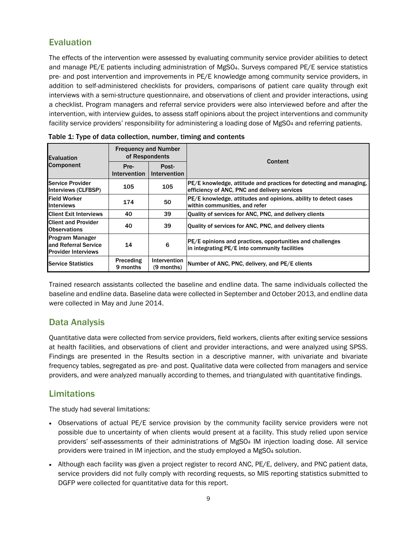#### Evaluation

The effects of the intervention were assessed by evaluating community service provider abilities to detect and manage PE/E patients including administration of MgSO<sub>4</sub>. Surveys compared PE/E service statistics pre- and post intervention and improvements in PE/E knowledge among community service providers, in addition to self-administered checklists for providers, comparisons of patient care quality through exit interviews with a semi-structure questionnaire, and observations of client and provider interactions, using a checklist. Program managers and referral service providers were also interviewed before and after the intervention, with interview guides, to assess staff opinions about the project interventions and community facility service providers' responsibility for administering a loading dose of MgSO4 and referring patients.

| <b>Evaluation</b><br><b>Component</b>                                         | <b>Frequency and Number</b><br>of Respondents |                            | Content                                                                                                            |  |
|-------------------------------------------------------------------------------|-----------------------------------------------|----------------------------|--------------------------------------------------------------------------------------------------------------------|--|
|                                                                               | Pre-<br><b>Intervention</b>                   | Post-<br>Intervention      |                                                                                                                    |  |
| Service Provider<br>Interviews (CLFBSP)                                       | 105                                           | 105                        | PE/E knowledge, attitude and practices for detecting and managing,<br>efficiency of ANC, PNC and delivery services |  |
| <b>IField Worker</b><br><b>Interviews</b>                                     | 174                                           | 50                         | PE/E knowledge, attitudes and opinions, ability to detect cases<br>within communities, and refer                   |  |
| <b>Client Exit Interviews</b>                                                 | 40                                            | 39                         | Quality of services for ANC, PNC, and delivery clients                                                             |  |
| <b>Client and Provider</b><br><b>Observations</b>                             | 40                                            | 39                         | Quality of services for ANC, PNC, and delivery clients                                                             |  |
| <b>Program Manager</b><br>land Referral Service<br><b>Provider Interviews</b> | 14                                            | 6                          | PE/E opinions and practices, opportunities and challenges<br>in integrating PE/E into community facilities         |  |
| <b>Service Statistics</b>                                                     | Preceding<br>9 months                         | Intervention<br>(9 months) | Number of ANC, PNC, delivery, and PE/E clients                                                                     |  |

|  | Table 1: Type of data collection, number, timing and contents |
|--|---------------------------------------------------------------|
|--|---------------------------------------------------------------|

Trained research assistants collected the baseline and endline data. The same individuals collected the baseline and endline data. Baseline data were collected in September and October 2013, and endline data were collected in May and June 2014.

#### Data Analysis

Quantitative data were collected from service providers, field workers, clients after exiting service sessions at health facilities, and observations of client and provider interactions, and were analyzed using SPSS. Findings are presented in the Results section in a descriptive manner, with univariate and bivariate frequency tables, segregated as pre- and post. Qualitative data were collected from managers and service providers, and were analyzed manually according to themes, and triangulated with quantitative findings.

#### Limitations

The study had several limitations:

- Observations of actual PE/E service provision by the community facility service providers were not possible due to uncertainty of when clients would present at a facility. This study relied upon service providers' self-assessments of their administrations of MgSO4 IM injection loading dose. All service providers were trained in IM injection, and the study employed a MgSO4 solution.
- Although each facility was given a project register to record ANC, PE/E, delivery, and PNC patient data, service providers did not fully comply with recording requests, so MIS reporting statistics submitted to DGFP were collected for quantitative data for this report.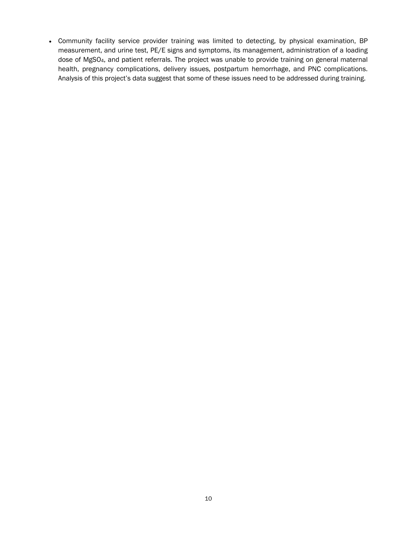Community facility service provider training was limited to detecting, by physical examination, BP measurement, and urine test, PE/E signs and symptoms, its management, administration of a loading dose of MgSO4, and patient referrals. The project was unable to provide training on general maternal health, pregnancy complications, delivery issues, postpartum hemorrhage, and PNC complications. Analysis of this project's data suggest that some of these issues need to be addressed during training.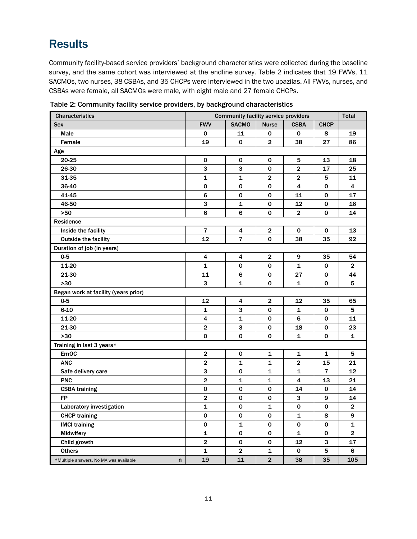### **Results**

Community facility-based service providers' background characteristics were collected during the baseline survey, and the same cohort was interviewed at the endline survey. Table 2 indicates that 19 FWVs, 11 SACMOs, two nurses, 38 CSBAs, and 35 CHCPs were interviewed in the two upazilas. All FWVs, nurses, and CSBAs were female, all SACMOs were male, with eight male and 27 female CHCPs.

| <b>Characteristics</b>                      | <b>Community facility service providers</b><br><b>Total</b> |                |                         |                         |                |                         |
|---------------------------------------------|-------------------------------------------------------------|----------------|-------------------------|-------------------------|----------------|-------------------------|
| <b>Sex</b>                                  | <b>FWV</b>                                                  | <b>SACMO</b>   | <b>Nurse</b>            | <b>CSBA</b>             | <b>CHCP</b>    |                         |
| <b>Male</b>                                 | 0                                                           | 11             | 0                       | $\mathbf 0$             | 8              | 19                      |
| Female                                      | 19                                                          | 0              | $\mathbf 2$             | 38                      | 27             | 86                      |
| Age                                         |                                                             |                |                         |                         |                |                         |
| 20-25                                       | 0                                                           | 0              | 0                       | 5                       | 13             | 18                      |
| 26-30                                       | 3                                                           | 3              | 0                       | $\mathbf{2}$            | 17             | 25                      |
| 31-35                                       | 1                                                           | 1              | $\overline{\mathbf{c}}$ | $\overline{\mathbf{2}}$ | 5              | 11                      |
| 36-40                                       | 0                                                           | 0              | $\mathbf 0$             | 4                       | 0              | 4                       |
| 41-45                                       | 6                                                           | 0              | 0                       | 11                      | 0              | 17                      |
| 46-50                                       | 3                                                           | $\mathbf 1$    | 0                       | 12                      | 0              | 16                      |
| >50                                         | 6                                                           | 6              | 0                       | $\overline{\mathbf{2}}$ | 0              | 14                      |
| Residence                                   |                                                             |                |                         |                         |                |                         |
| Inside the facility                         | 7                                                           | 4              | $\mathbf{2}$            | 0                       | 0              | 13                      |
| <b>Outside the facility</b>                 | 12                                                          | 7              | 0                       | 38                      | 35             | 92                      |
| Duration of job (in years)                  |                                                             |                |                         |                         |                |                         |
| $0-5$                                       | 4                                                           | 4              | $\overline{2}$          | 9                       | 35             | 54                      |
| 11-20                                       | 1                                                           | 0              | 0                       | 1                       | 0              | $\mathbf{2}$            |
| 21-30                                       | 11                                                          | 6              | 0                       | 27                      | 0              | 44                      |
| >30                                         | 3                                                           | $\mathbf{1}$   | 0                       | 1                       | 0              | 5                       |
| Began work at facility (years prior)        |                                                             |                |                         |                         |                |                         |
| $0-5$                                       | 12                                                          | 4              | $\mathbf{2}$            | 12                      | 35             | 65                      |
| $6 - 10$                                    | 1                                                           | 3              | 0                       | $\mathbf{1}$            | 0              | 5                       |
| 11-20                                       | 4                                                           | 1              | 0                       | 6                       | 0              | 11                      |
| 21-30                                       | $\overline{\mathbf{c}}$                                     | 3              | 0                       | 18                      | 0              | 23                      |
| >30                                         | 0                                                           | 0              | 0                       | 1                       | 0              | 1                       |
| Training in last 3 years*                   |                                                             |                |                         |                         |                |                         |
| <b>EmOC</b>                                 | $\mathbf 2$                                                 | 0              | 1                       | 1                       | 1              | 5                       |
| <b>ANC</b>                                  | $\mathbf 2$                                                 | 1              | 1                       | $\mathbf{2}$            | 15             | 21                      |
| Safe delivery care                          | 3                                                           | 0              | 1                       | 1                       | $\overline{7}$ | 12                      |
| <b>PNC</b>                                  | $\overline{2}$                                              | $\mathbf{1}$   | $\mathbf{1}$            | 4                       | 13             | 21                      |
| <b>CSBA</b> training                        | $\pmb{0}$                                                   | 0              | 0                       | 14                      | 0              | 14                      |
| <b>FP</b>                                   | $\overline{\mathbf{c}}$                                     | $\mathbf 0$    | $\mathbf 0$             | $\mathbf{3}$            | 9              | 14                      |
| Laboratory investigation                    | 1                                                           | 0              | $\mathbf{1}$            | 0                       | 0              | $\overline{\mathbf{c}}$ |
| <b>CHCP</b> training                        | 0                                                           | 0              | 0                       | $\mathbf{1}$            | 8              | 9                       |
| <b>IMCI training</b>                        | 0                                                           | $\mathbf{1}$   | 0                       | 0                       | 0              | 1                       |
| Midwifery                                   | 1                                                           | 0              | 0                       | 1                       | 0              | $\mathbf{2}$            |
| Child growth                                | $\mathbf 2$                                                 | 0              | 0                       | 12                      | 3              | 17                      |
| <b>Others</b>                               | 1                                                           | $\overline{2}$ | 1                       | 0                       | 5              | 6                       |
| n<br>*Multiple answers. No MA was available | 19                                                          | 11             | $\overline{2}$          | 38                      | 35             | 105                     |

Table 2: Community facility service providers, by background characteristics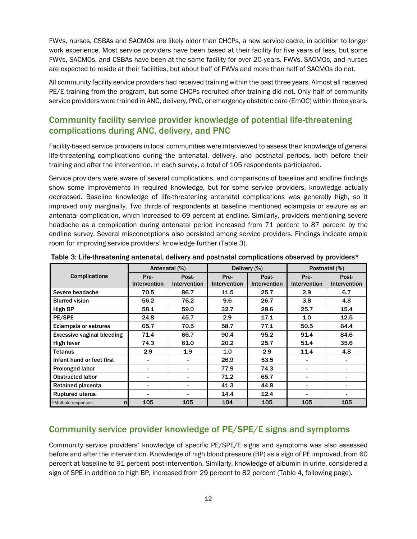FWVs, nurses, CSBAs and SACMOs are likely older than CHCPs, a new service cadre, in addition to longer work experience. Most service providers have been based at their facility for five years of less, but some FWVs, SACMOs, and CSBAs have been at the same facility for over 20 years. FWVs, SACMOs, and nurses are expected to reside at their facilities, but about half of FWVs and more than half of SACMOs do not.

All community facility service providers had received training within the past three years. Almost all received PE/E training from the program, but some CHCPs recruited after training did not. Only half of community service providers were trained in ANC, delivery, PNC, or emergency obstetric care (EmOC) within three years.

#### Community facility service provider knowledge of potential life-threatening complications during ANC, delivery, and PNC

Facility-based service providers in local communities were interviewed to assess their knowledge of general life-threatening complications during the antenatal, delivery, and postnatal periods, both before their training and after the intervention. In each survey, a total of 105 respondents participated.

Service providers were aware of several complications, and comparisons of baseline and endline findings show some improvements in required knowledge, but for some service providers, knowledge actually decreased. Baseline knowledge of life-threatening antenatal complications was generally high, so it improved only marginally. Two thirds of respondents at baseline mentioned eclampsia or seizure as an antenatal complication, which increased to 69 percent at endline. Similarly, providers mentioning severe headache as a complication during antenatal period increased from 71 percent to 87 percent by the endline survey. Several misconceptions also persisted among service providers. Findings indicate ample room for improving service providers' knowledge further (Table 3).

|                                       |                          | Antenatal (%)            |              | Delivery (%)        | Postnatal (%)  |              |  |
|---------------------------------------|--------------------------|--------------------------|--------------|---------------------|----------------|--------------|--|
| <b>Complications</b>                  | Pre-                     | Post-                    | Pre-         | Post-               | Pre-           | Post-        |  |
|                                       | Intervention             | Intervention             | Intervention | <b>Intervention</b> | Intervention   | Intervention |  |
| Severe headache                       | 70.5                     | 86.7                     | 11.5         | 25.7                | 2.9            | 6.7          |  |
| <b>Blurred vision</b>                 | 56.2                     | 76.2                     | 9.6          | 26.7                | 3.8            | 4.8          |  |
| High BP                               | 58.1                     | 59.0                     | 32.7         | 28.6                | 25.7           | 15.4         |  |
| PE/SPE                                | 24.8                     | 45.7                     | 2.9          | 17.1                | 1.0            | 12.5         |  |
| Eclampsia or seizures                 | 65.7                     | 70.5                     | 58.7         | 77.1                | 50.5           | 64.4         |  |
| <b>Excessive vaginal bleeding</b>     | 71.4                     | 66.7                     | 90.4         | 95.2                | 91.4           | 84.6         |  |
| High fever                            | 74.3                     | 61.0                     | 20.2         | 25.7                | 51.4           | 35.6         |  |
| <b>Tetanus</b>                        | 2.9                      | 1.9                      | 1.0          | 2.9                 | 11.4           | 4.8          |  |
| Infant hand or feet first             | $\overline{\phantom{0}}$ | $\overline{\phantom{a}}$ | 26.9         | 53.5                |                |              |  |
| Prolonged labor                       | -                        | $\overline{\phantom{0}}$ | 77.9         | 74.3                | -              |              |  |
| <b>Obstructed labor</b>               | -                        | $\overline{\phantom{0}}$ | 71.2         | 65.7                |                |              |  |
| Retained placenta                     |                          | $\blacksquare$           | 41.3         | 44.8                |                |              |  |
| <b>Ruptured uterus</b>                | $\overline{\phantom{0}}$ | $\overline{\phantom{0}}$ | 14.4         | 12.4                | $\blacksquare$ |              |  |
| *Multiple responses<br>n <sub>l</sub> | 105                      | 105                      | 104          | 105                 | 105            | 105          |  |

Table 3: Life-threatening antenatal, delivery and postnatal complications observed by providers\*

#### Community service provider knowledge of PE/SPE/E signs and symptoms

Community service providers' knowledge of specific PE/SPE/E signs and symptoms was also assessed before and after the intervention. Knowledge of high blood pressure (BP) as a sign of PE improved, from 60 percent at baseline to 91 percent post-intervention. Similarly, knowledge of albumin in urine, considered a sign of SPE in addition to high BP, increased from 29 percent to 82 percent (Table 4, following page).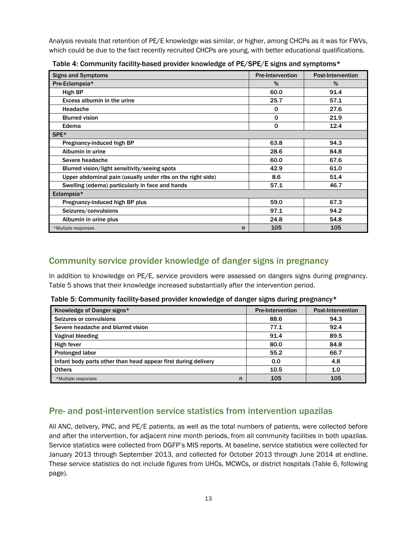Analysis reveals that retention of PE/E knowledge was similar, or higher, among CHCPs as it was for FWVs, which could be due to the fact recently recruited CHCPs are young, with better educational qualifications.

| <b>Signs and Symptoms</b>                                   | <b>Pre-Intervention</b> | <b>Post-Intervention</b> |
|-------------------------------------------------------------|-------------------------|--------------------------|
| Pre-Eclampsia*                                              | %                       | $\%$                     |
| High BP                                                     | 60.0                    | 91.4                     |
| Excess albumin in the urine                                 | 25.7                    | 57.1                     |
| Headache                                                    | $\mathbf 0$             | 27.6                     |
| <b>Blurred vision</b>                                       | $\mathbf 0$             | 21.9                     |
| Edema                                                       | $\mathbf 0$             | 12.4                     |
| SPE <sup>*</sup>                                            |                         |                          |
| Pregnancy-induced high BP                                   | 63.8                    | 94.3                     |
| Albumin in urine                                            | 28.6                    | 84.8                     |
| Severe headache                                             | 60.0                    | 67.6                     |
| Blurred vision/light sensitivity/seeing spots               | 42.9                    | 61.0                     |
| Upper abdominal pain (usually under ribs on the right side) | 8.6                     | 51.4                     |
| Swelling (edema) particularly in face and hands             | 57.1                    | 46.7                     |
| Eclampsia*                                                  |                         |                          |
| Pregnancy-induced high BP plus                              | 59.0                    | 67.3                     |
| Seizures/convulsions                                        | 97.1                    | 94.2                     |
| Albumin in urine plus                                       | 24.8                    | 54.8                     |
| *Multiple responses<br>n                                    | 105                     | 105                      |

Table 4: Community facility-based provider knowledge of PE/SPE/E signs and symptoms\*

#### Community service provider knowledge of danger signs in pregnancy

In addition to knowledge on PE/E, service providers were assessed on dangers signs during pregnancy. Table 5 shows that their knowledge increased substantially after the intervention period.

Table 5: Community facility-based provider knowledge of danger signs during pregnancy\*

| Knowledge of Danger signs*                                     | <b>Pre-Intervention</b> | <b>Post-Intervention</b> |
|----------------------------------------------------------------|-------------------------|--------------------------|
| Seizures or convulsions                                        | 88.6                    | 94.3                     |
| Severe headache and blurred vision                             | 77.1                    | 92.4                     |
| Vaginal bleeding                                               | 91.4                    | 89.5                     |
| High fever                                                     | 80.0                    | 84.8                     |
| <b>Prolonged labor</b>                                         | 55.2                    | 66.7                     |
| Infant body parts other than head appear first during delivery | 0.0                     | 4.8                      |
| <b>Others</b>                                                  | 10.5                    | 1.0                      |
| n<br>*Multiple responses                                       | 105                     | 105                      |

#### Pre- and post-intervention service statistics from intervention upazilas

All ANC, delivery, PNC, and PE/E patients, as well as the total numbers of patients, were collected before and after the intervention, for adjacent nine month periods, from all community facilities in both upazilas. Service statistics were collected from DGFP's MIS reports. At baseline, service statistics were collected for January 2013 through September 2013, and collected for October 2013 through June 2014 at endline. These service statistics do not include figures from UHCs, MCWCs, or district hospitals (Table 6, following page).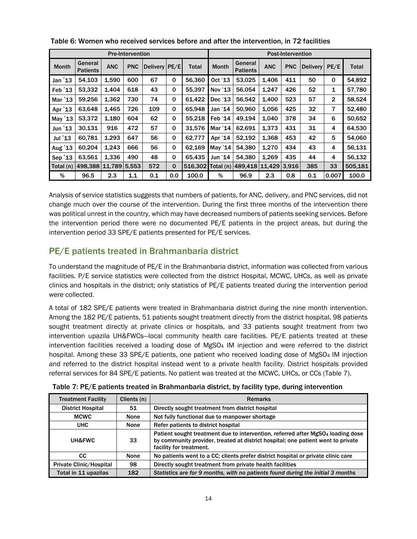| <b>Pre-Intervention</b> |                            |            |            |               | <b>Post-Intervention</b> |         |              |                            |            |            |                 |                |         |
|-------------------------|----------------------------|------------|------------|---------------|--------------------------|---------|--------------|----------------------------|------------|------------|-----------------|----------------|---------|
| <b>Month</b>            | General<br><b>Patients</b> | <b>ANC</b> | <b>PNC</b> | Delivery PE/E |                          | Total   | <b>Month</b> | General<br><b>Patients</b> | <b>ANC</b> | <b>PNC</b> | <b>Delivery</b> | PE/E           | Total   |
| Jan $'13$               | 54,103                     | 1,590      | 600        | 67            | $\mathbf 0$              | 56,360  | Oct '13      | 53,025                     | 1,406      | 411        | 50              | 0              | 54,892  |
| Feb $'13$               | 53,332                     | 1.404      | 618        | 43            | 0                        | 55.397  | Nov '13      | 56,054                     | 1,247      | 426        | 52              | 1              | 57,780  |
| Mar '13                 | 59,256                     | 1,362      | 730        | 74            | 0                        | 61,422  | Dec '13      | 56,542                     | 1,400      | 523        | 57              | $\overline{2}$ | 58,524  |
| Apr '13                 | 63,648                     | 1.465      | 726        | 109           | $\mathbf 0$              | 65.948  | Jan '14      | 50.960                     | 1.056      | 425        | 32              | 7              | 52,480  |
| May '13                 | 53.372                     | 1,180      | 604        | 62            | 0                        | 55.218  | Feb '14      | 49,194                     | 1,040      | 378        | 34              | 6              | 50,652  |
| Jun $'13$               | 30,131                     | 916        | 472        | 57            | $\Omega$                 | 31.576  | Mar '14      | 62,691                     | 1,373      | 431        | 31              | 4              | 64,530  |
| Jul '13                 | 60,781                     | 1.293      | 647        | 56            | $\mathbf 0$              | 62,777  | Apr '14      | 52,192                     | 1,368      | 453        | 42              | 5              | 54.060  |
| Aug '13                 | 60.204                     | 1,243      | 666        | 56            | $\mathbf 0$              | 62,169  | May '14      | 54.380                     | 1,270      | 434        | 43              | 4              | 56,131  |
| Sep '13                 | 63,561                     | 1,336      | 490        | 48            | 0                        | 65.435  | Jun '14      | 54,380                     | 1,269      | 435        | 44              | 4              | 56,132  |
| Total (n)               | 498,388                    | 11,789     | 5,553      | 572           | 0                        | 516,302 | Total (n)    | 489.418                    | 11,429     | 3.916      | 385             | 33             | 505,181 |
| %                       | 96.5                       | 2.3        | 1.1        | 0.1           | 0.0                      | 100.0   | %            | 96.9                       | 2.3        | 0.8        | 0.1             | 0.007          | 100.0   |

Table 6: Women who received services before and after the intervention, in 72 facilities

Analysis of service statistics suggests that numbers of patients, for ANC, delivery, and PNC services, did not change much over the course of the intervention. During the first three months of the intervention there was political unrest in the country, which may have decreased numbers of patients seeking services. Before the intervention period there were no documented PE/E patients in the project areas, but during the intervention period 33 SPE/E patients presented for PE/E services.

#### PE/E patients treated in Brahmanbaria district

To understand the magnitude of PE/E in the Brahmanbaria district, information was collected from various facilities. P/E service statistics were collected from the district Hospital, MCWC, UHCs, as well as private clinics and hospitals in the district; only statistics of PE/E patients treated during the intervention period were collected.

A total of 182 SPE/E patients were treated in Brahmanbaria district during the nine month intervention. Among the 182 PE/E patients, 51 patients sought treatment directly from the district hospital, 98 patients sought treatment directly at private clinics or hospitals, and 33 patients sought treatment from two intervention upazila UH&FWCs—local community health care facilities. PE/E patients treated at these intervention facilities received a loading dose of MgSO4 IM injection and were referred to the district hospital. Among these 33 SPE/E patients, one patient who received loading dose of MgSO4 IM injection and referred to the district hospital instead went to a private health facility. District hospitals provided referral services for 84 SPE/E patients. No patient was treated at the MCWC, UHCs, or CCs (Table 7).

| <b>Treatment Facility</b>      | Clients (n) | <b>Remarks</b>                                                                                                                                                                                             |
|--------------------------------|-------------|------------------------------------------------------------------------------------------------------------------------------------------------------------------------------------------------------------|
| <b>District Hospital</b>       | 51          | Directly sought treatment from district hospital                                                                                                                                                           |
| <b>MCWC</b>                    | None        | Not fully functional due to manpower shortage                                                                                                                                                              |
| <b>UHC</b>                     | None        | Refer patients to district hospital                                                                                                                                                                        |
| <b>UH&amp;FWC</b>              | 33          | Patient sought treatment due to intervention, referred after MgSO <sub>4</sub> loading dose<br>by community provider, treated at district hospital; one patient went to private<br>facility for treatment. |
| СC                             | None        | No patients went to a CC; clients prefer district hospital or private clinic care                                                                                                                          |
| <b>Private Clinic/Hospital</b> | 98          | Directly sought treatment from private health facilities                                                                                                                                                   |
| Total in 11 upazilas           | 182         | Statistics are for 9 months, with no patients found during the initial 3 months                                                                                                                            |

Table 7: PE/E patients treated in Brahmanbaria district, by facility type, during intervention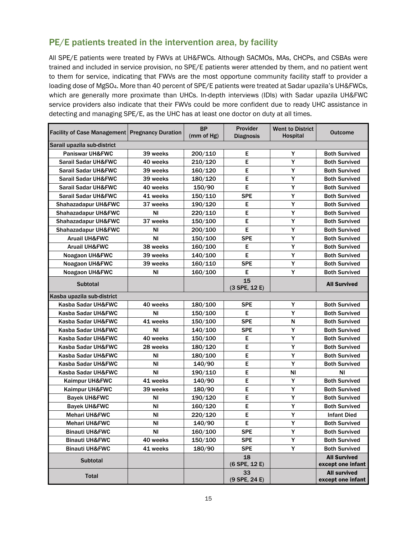#### PE/E patients treated in the intervention area, by facility

All SPE/E patients were treated by FWVs at UH&FWCs. Although SACMOs, MAs, CHCPs, and CSBAs were trained and included in service provision, no SPE/E patients werer attended by them, and no patient went to them for service, indicating that FWVs are the most opportune community facility staff to provider a loading dose of MgSO4. More than 40 percent of SPE/E patients were treated at Sadar upazila's UH&FWCs, which are generally more proximate than UHCs. In-depth interviews (IDIs) with Sadar upazila UH&FWC service providers also indicate that their FWVs could be more confident due to ready UHC assistance in detecting and managing SPE/E, as the UHC has at least one doctor on duty at all times.

| <b>Facility of Case Management Pregnancy Duration</b> |           | <b>BP</b><br>(mm of Hg) | Provider<br><b>Diagnosis</b> | <b>Went to District</b><br><b>Hospital</b> | <b>Outcome</b>                           |
|-------------------------------------------------------|-----------|-------------------------|------------------------------|--------------------------------------------|------------------------------------------|
| Sarail upazila sub-district                           |           |                         |                              |                                            |                                          |
| Paniswar UH&FWC                                       | 39 weeks  | 200/110                 | E                            | Y                                          | <b>Both Survived</b>                     |
| Sarail Sadar UH&FWC                                   | 40 weeks  | 210/120                 | Е                            | Υ                                          | <b>Both Survived</b>                     |
| <b>Sarail Sadar UH&amp;FWC</b>                        | 39 weeks  | 160/120                 | E                            | Y                                          | <b>Both Survived</b>                     |
| <b>Sarail Sadar UH&amp;FWC</b>                        | 39 weeks  | 180/120                 | E                            | Y                                          | <b>Both Survived</b>                     |
| Sarail Sadar UH&FWC                                   | 40 weeks  | 150/90                  | E                            | Y                                          | <b>Both Survived</b>                     |
| <b>Sarail Sadar UH&amp;FWC</b>                        | 41 weeks  | 150/110                 | <b>SPE</b>                   | Υ                                          | <b>Both Survived</b>                     |
| Shahazadapur UH&FWC                                   | 37 weeks  | 190/120                 | Е                            | Y                                          | <b>Both Survived</b>                     |
| Shahazadapur UH&FWC                                   | ΝI        | 220/110                 | E                            | Υ                                          | <b>Both Survived</b>                     |
| <b>Shahazadapur UH&amp;FWC</b>                        | 37 weeks  | 150/100                 | Е                            | Y                                          | <b>Both Survived</b>                     |
| <b>Shahazadapur UH&amp;FWC</b>                        | ΝI        | 200/100                 | E                            | Y                                          | <b>Both Survived</b>                     |
| <b>Aruail UH&amp;FWC</b>                              | ΝI        | 150/100                 | <b>SPE</b>                   | Υ                                          | <b>Both Survived</b>                     |
| <b>Aruail UH&amp;FWC</b>                              | 38 weeks  | 160/100                 | Е                            | Υ                                          | <b>Both Survived</b>                     |
| Noagaon UH&FWC                                        | 39 weeks  | 140/100                 | E                            | Y                                          | <b>Both Survived</b>                     |
| <b>Noagaon UH&amp;FWC</b>                             | 39 weeks  | 160/110                 | <b>SPE</b>                   | Y                                          | <b>Both Survived</b>                     |
| Noagaon UH&FWC                                        | ΝI        | 160/100                 | Е                            | Y                                          | <b>Both Survived</b>                     |
| <b>Subtotal</b>                                       |           |                         | 15                           |                                            | <b>All Survived</b>                      |
|                                                       |           |                         | (3 SPE, 12 E)                |                                            |                                          |
| Kasba upazila sub-district                            |           |                         |                              |                                            |                                          |
| Kasba Sadar UH&FWC                                    | 40 weeks  | 180/100                 | <b>SPE</b>                   | Y                                          | <b>Both Survived</b>                     |
| Kasba Sadar UH&FWC                                    | ΝI        | 150/100                 | Е                            | Y                                          | <b>Both Survived</b>                     |
| Kasba Sadar UH&FWC                                    | 41 weeks  | 150/100                 | <b>SPE</b>                   | N                                          | <b>Both Survived</b>                     |
| Kasba Sadar UH&FWC                                    | ΝI        | 140/100                 | <b>SPE</b>                   | Y                                          | <b>Both Survived</b>                     |
| Kasba Sadar UH&FWC                                    | 40 weeks  | 150/100                 | Е                            | Υ                                          | <b>Both Survived</b>                     |
| Kasba Sadar UH&FWC                                    | 28 weeks  | 180/120                 | Е                            | Υ                                          | <b>Both Survived</b>                     |
| Kasba Sadar UH&FWC                                    | ΝI        | 180/100                 | E                            | Y                                          | <b>Both Survived</b>                     |
| Kasba Sadar UH&FWC                                    | ΝI        | 140/90                  | Е                            | Y                                          | <b>Both Survived</b>                     |
| Kasba Sadar UH&FWC                                    | ΝI        | 190/110                 | Е                            | NI                                         | ΝI                                       |
| Kaimpur UH&FWC                                        | 41 weeks  | 140/90                  | E                            | Y                                          | <b>Both Survived</b>                     |
| Kaimpur UH&FWC                                        | 39 weeks  | 180/90                  | E                            | Y                                          | <b>Both Survived</b>                     |
| <b>Bayek UH&amp;FWC</b>                               | ΝI        | 190/120                 | E                            | Υ                                          | <b>Both Survived</b>                     |
| <b>Bayek UH&amp;FWC</b>                               | <b>NI</b> | 160/120                 | E                            | Y                                          | <b>Both Survived</b>                     |
| <b>Mehari UH&amp;FWC</b>                              | <b>NI</b> | 220/120                 | E                            | Y                                          | <b>Infant Died</b>                       |
| <b>Mehari UH&amp;FWC</b>                              | ΝI        | 140/90                  | E                            | Υ                                          | <b>Both Survived</b>                     |
| <b>Binauti UH&amp;FWC</b>                             | NI.       | 160/100                 | SPE                          | Y                                          | <b>Both Survived</b>                     |
| <b>Binauti UH&amp;FWC</b>                             | 40 weeks  | 150/100                 | <b>SPE</b>                   | Y                                          | <b>Both Survived</b>                     |
| <b>Binauti UH&amp;FWC</b>                             | 41 weeks  | 180/90                  | <b>SPE</b>                   | Y                                          | <b>Both Survived</b>                     |
| <b>Subtotal</b>                                       |           |                         | 18<br>(6 SPE, 12 E)          |                                            | <b>All Survived</b><br>except one infant |
| <b>Total</b>                                          |           |                         | 33<br>$(9$ SPE, 24 E)        |                                            | <b>All survived</b><br>except one infant |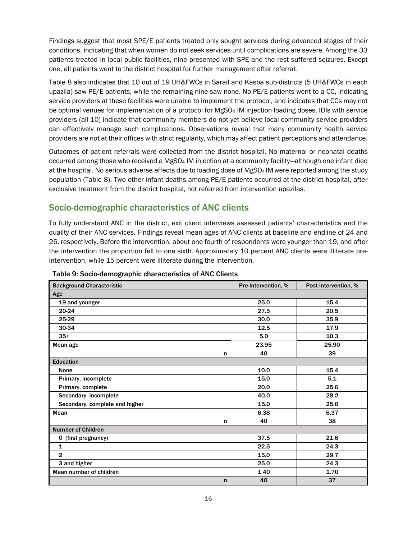Findings suggest that most SPE/E patients treated only sought services during advanced stages of their conditions, indicating that when women do not seek services until complications are severe. Among the 33 patients treated in local public facilities, nine presented with SPE and the rest suffered seizures. Except one, all patients went to the district hospital for further management after referral.

Table 8 also indicates that 10 out of 19 UH&FWCs in Sarail and Kasba sub-districts (5 UH&FWCs in each upazila) saw PE/E patients, while the remaining nine saw none. No PE/E patients went to a CC, indicating service providers at these facilities were unable to implement the protocol, and indicates that CCs may not be optimal venues for implementation of a protocol for MgSO4 IM injection loading doses. IDIs with service providers (all 10) indicate that community members do not yet believe local community service providers can effectively manage such complications. Observations reveal that many community health service providers are not at their offices with strict regularity, which may affect patient perceptions and attendance.

Outcomes of patient referrals were collected from the district hospital. No maternal or neonatal deaths occurred among those who received a MgSO4 IM injection at a community facility—although one infant died at the hospital. No serious adverse effects due to loading dose of MgSO4 IM were reported among the study population (Table 8). Two other infant deaths among PE/E patients occurred at the district hospital, after exclusive treatment from the district hospital, not referred from intervention upazilas.

#### Socio-demographic characteristics of ANC clients

To fully understand ANC in the district, exit client interviews assessed patients' characteristics and the quality of their ANC services. Findings reveal mean ages of ANC clients at baseline and endline of 24 and 26, respectively. Before the intervention, about one fourth of respondents were younger than 19, and after the intervention the proportion fell to one sixth. Approximately 10 percent ANC clients were illiterate preintervention, while 15 percent were illiterate during the intervention.

| <b>Background Characteristic</b> | Pre-Intervention, % | Post-Intervention, % |
|----------------------------------|---------------------|----------------------|
| Age                              |                     |                      |
| 19 and younger                   | 25.0                | 15.4                 |
| 20-24                            | 27.5                | 20.5                 |
| 25-29                            | 30.0                | 35.9                 |
| 30-34                            | 12.5                | 17.9                 |
| $35+$                            | 5.0                 | 10.3                 |
| Mean age                         | 23.95               | 25.90                |
| n                                | 40                  | 39                   |
| Education                        |                     |                      |
| None                             | 10.0                | 15.4                 |
| Primary, incomplete              | 15.0                | 5.1                  |
| Primary, complete                | 20.0                | 25.6                 |
| Secondary, incomplete            | 40.0                | 28.2                 |
| Secondary, complete and higher   | 15.0                | 25.6                 |
| Mean                             | 6.38                | 6.37                 |
| n                                | 40                  | 38                   |
| <b>Number of Children</b>        |                     |                      |
| 0 (first pregnancy)              | 37.5                | 21.6                 |
| $\mathbf{1}$                     | 22.5                | 24.3                 |
| $\overline{2}$                   | 15.0                | 29.7                 |
| 3 and higher                     | 25.0                | 24.3                 |
| Mean number of children          | 1.40                | 1.70                 |
| n                                | 40                  | 37                   |

Table 9: Socio-demographic characteristics of ANC Clients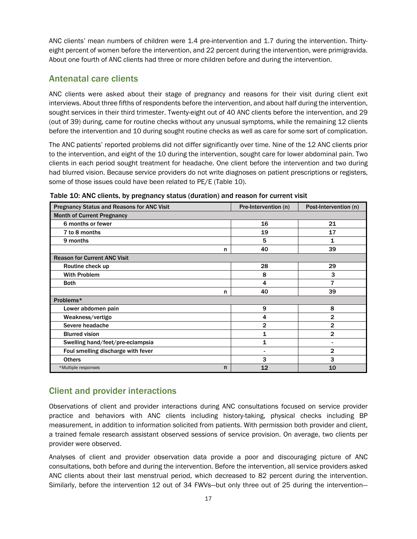ANC clients' mean numbers of children were 1.4 pre-intervention and 1.7 during the intervention. Thirtyeight percent of women before the intervention, and 22 percent during the intervention, were primigravida. About one fourth of ANC clients had three or more children before and during the intervention.

#### Antenatal care clients

ANC clients were asked about their stage of pregnancy and reasons for their visit during client exit interviews. About three fifths of respondents before the intervention, and about half during the intervention, sought services in their third trimester. Twenty-eight out of 40 ANC clients before the intervention, and 29 (out of 39) during, came for routine checks without any unusual symptoms, while the remaining 12 clients before the intervention and 10 during sought routine checks as well as care for some sort of complication.

The ANC patients' reported problems did not differ significantly over time. Nine of the 12 ANC clients prior to the intervention, and eight of the 10 during the intervention, sought care for lower abdominal pain. Two clients in each period sought treatment for headache. One client before the intervention and two during had blurred vision. Because service providers do not write diagnoses on patient prescriptions or registers, some of those issues could have been related to PE/E (Table 10).

| <b>Pregnancy Status and Reasons for ANC Visit</b> | Pre-Intervention (n)     | Post-Intervention (n) |  |  |  |  |  |  |  |
|---------------------------------------------------|--------------------------|-----------------------|--|--|--|--|--|--|--|
| <b>Month of Current Pregnancy</b>                 |                          |                       |  |  |  |  |  |  |  |
| 6 months or fewer                                 | 16                       | 21                    |  |  |  |  |  |  |  |
| 7 to 8 months                                     | 19                       | 17                    |  |  |  |  |  |  |  |
| 9 months                                          | 5                        | 1                     |  |  |  |  |  |  |  |
| n                                                 | 40                       | 39                    |  |  |  |  |  |  |  |
| <b>Reason for Current ANC Visit</b>               |                          |                       |  |  |  |  |  |  |  |
| Routine check up                                  | 28                       | 29                    |  |  |  |  |  |  |  |
| <b>With Problem</b>                               | 8                        | 3                     |  |  |  |  |  |  |  |
| <b>Both</b>                                       | 4                        | 7                     |  |  |  |  |  |  |  |
| n                                                 | 40                       | 39                    |  |  |  |  |  |  |  |
| Problems*                                         |                          |                       |  |  |  |  |  |  |  |
| Lower abdomen pain                                | 9                        | 8                     |  |  |  |  |  |  |  |
| Weakness/vertigo                                  | 4                        | $\overline{2}$        |  |  |  |  |  |  |  |
| Severe headache                                   | $\overline{2}$           | $\overline{2}$        |  |  |  |  |  |  |  |
| <b>Blurred vision</b>                             | 1                        | $\overline{2}$        |  |  |  |  |  |  |  |
| Swelling hand/feet/pre-eclampsia                  | $\mathbf{1}$             |                       |  |  |  |  |  |  |  |
| Foul smelling discharge with fever                | $\overline{\phantom{0}}$ | $\overline{2}$        |  |  |  |  |  |  |  |
| <b>Others</b>                                     | 3                        | 3                     |  |  |  |  |  |  |  |
| *Multiple responses<br>n                          | 12                       | 10                    |  |  |  |  |  |  |  |

Table 10: ANC clients, by pregnancy status (duration) and reason for current visit

#### Client and provider interactions

Observations of client and provider interactions during ANC consultations focused on service provider practice and behaviors with ANC clients including history-taking, physical checks including BP measurement, in addition to information solicited from patients. With permission both provider and client, a trained female research assistant observed sessions of service provision. On average, two clients per provider were observed.

Analyses of client and provider observation data provide a poor and discouraging picture of ANC consultations, both before and during the intervention. Before the intervention, all service providers asked ANC clients about their last menstrual period, which decreased to 82 percent during the intervention. Similarly, before the intervention 12 out of 34 FWVs—but only three out of 25 during the intervention—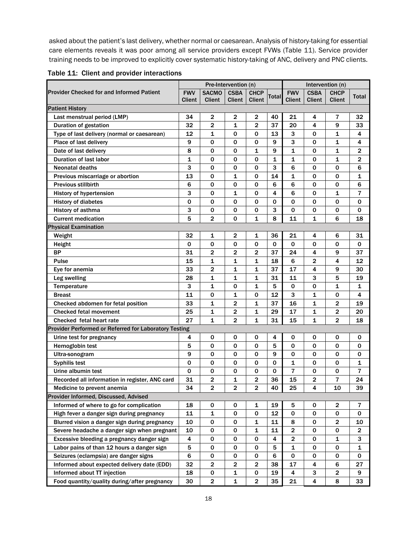asked about the patient's last delivery, whether normal or caesarean. Analysis of history-taking for essential care elements reveals it was poor among all service providers except FVWs (Table 11). Service provider training needs to be improved to explicitly cover systematic history-taking of ANC, delivery and PNC clients.

|  |  |  | Table 11: Client and provider interactions |
|--|--|--|--------------------------------------------|
|--|--|--|--------------------------------------------|

|                                                       | Pre-Intervention (n) |               |                |                         |              |                         |                |                         |                         |
|-------------------------------------------------------|----------------------|---------------|----------------|-------------------------|--------------|-------------------------|----------------|-------------------------|-------------------------|
| <b>Provider Checked for and Informed Patient</b>      | <b>FWV</b>           | <b>SACMO</b>  | <b>CSBA</b>    | <b>CHCP</b>             | Totall       | <b>FWV</b>              | <b>CSBA</b>    | <b>CHCP</b>             | <b>Total</b>            |
|                                                       | <b>Client</b>        | <b>Client</b> | Client         | <b>Client</b>           |              | <b>Client</b>           | <b>Client</b>  | <b>Client</b>           |                         |
| <b>Patient History</b>                                |                      |               |                |                         |              |                         |                |                         |                         |
| Last menstrual period (LMP)                           | 34                   | 2             | 2              | 2                       | 40           | 21                      | 4              | 7                       | 32                      |
| Duration of gestation                                 | 32                   | 2             | 1              | $\overline{2}$          | 37           | 20                      | 4              | 9                       | 33                      |
| Type of last delivery (normal or caesarean)           | 12                   | 1             | 0              | 0                       | 13           | 3                       | 0              | $\mathbf{1}$            | 4                       |
| Place of last delivery                                | 9                    | 0             | 0              | 0                       | 9            | 3                       | 0              | 1                       | 4                       |
| Date of last delivery                                 | 8                    | 0             | 0              | 1                       | 9            | 1                       | 0              | 1                       | 2                       |
| Duration of last labor                                | 1                    | 0             | 0              | 0                       | $\mathbf{1}$ | 1                       | 0              | $\mathbf{1}$            | $\overline{2}$          |
| <b>Neonatal deaths</b>                                | 3                    | 0             | 0              | 0                       | 3            | 6                       | 0              | 0                       | 6                       |
| Previous miscarriage or abortion                      | 13                   | 0             | 1              | 0                       | 14           | 1                       | 0              | 0                       | 1                       |
| <b>Previous stillbirth</b>                            | 6                    | 0             | 0              | 0                       | 6            | 6                       | 0              | $\mathbf 0$             | 6                       |
| <b>History of hypertension</b>                        | 3                    | 0             | 1              | 0                       | 4            | 6                       | 0              | 1                       | 7                       |
| <b>History of diabetes</b>                            | 0                    | $\mathbf 0$   | 0              | $\mathbf 0$             | $\mathbf 0$  | $\mathbf 0$             | $\mathbf 0$    | 0                       | $\mathbf 0$             |
| History of asthma                                     | 3                    | 0             | 0              | 0                       | 3            | $\mathbf 0$             | 0              | 0                       | $\mathbf 0$             |
| <b>Current medication</b>                             | 5                    | 2             | 0              | 1                       | 8            | 11                      | 1              | 6                       | 18                      |
| <b>Physical Examination</b>                           |                      |               |                |                         |              |                         |                |                         |                         |
| Weight                                                | 32                   | 1             | 2              | 1                       | 36           | 21                      | 4              | 6                       | 31                      |
| Height                                                | 0                    | 0             | 0              | 0                       | 0            | 0                       | 0              | 0                       | 0                       |
| <b>BP</b>                                             | 31                   | 2             | 2              | 2                       | 37           | 24                      | 4              | 9                       | 37                      |
| Pulse                                                 | 15                   | 1             | 1              | 1                       | 18           | 6                       | 2              | 4                       | 12                      |
| Eye for anemia                                        | 33                   | 2             | 1              | 1                       | 37           | 17                      | 4              | 9                       | 30                      |
| Leg swelling                                          | 28                   | 1             | 1              | 1                       | 31           | 11                      | 3              | 5                       | 19                      |
| Temperature                                           | 3                    | 1             | 0              | 1                       | 5            | $\mathbf 0$             | 0              | 1                       | 1                       |
| <b>Breast</b>                                         | 11                   | 0             | 1              | 0                       | 12           | 3                       | 1              | 0                       | 4                       |
| Checked abdomen for fetal position                    | 33                   | 1             | 2              | 1                       | 37           | 16                      | 1              | $\mathbf 2$             | 19                      |
| <b>Checked fetal movement</b>                         | 25                   | 1             | 2              | 1                       | 29           | 17                      | 1              | $\mathbf 2$             | 20                      |
| Checked fetal heart rate                              | 27                   | 1             | $\overline{2}$ | 1                       | 31           | 15                      | 1              | $\overline{2}$          | 18                      |
| Provider Performed or Referred for Laboratory Testing |                      |               |                |                         |              |                         |                |                         |                         |
| Urine test for pregnancy                              | 4                    | 0             | 0              | 0                       | 4            | 0                       | 0              | 0                       | 0                       |
| Hemoglobin test                                       | 5                    | 0             | 0              | 0                       | 5            | 0                       | 0              | 0                       | 0                       |
| Ultra-sonogram                                        | 9                    | 0             | 0              | 0                       | 9            | 0                       | 0              | 0                       | 0                       |
| <b>Syphilis test</b>                                  | 0                    | 0             | 0              | 0                       | 0            | 1                       | 0              | 0                       | 1                       |
| Urine albumin test                                    | 0                    | 0             | 0              | 0                       | 0            | 7                       | 0              | 0                       | 7                       |
| Recorded all information in register, ANC card        | 31                   | 2             | 1              | $\overline{2}$          | 36           | 15                      | $\overline{2}$ | 7                       | 24                      |
| Medicine to prevent anemia                            | 34                   | $\mathbf 2$   | $\mathbf 2$    | $\mathbf 2$             | 40           | 25                      | 4              | 10                      | 39                      |
| Provider Informed, Discussed, Advised                 |                      |               |                |                         |              |                         |                |                         |                         |
| Informed of where to go for complication              | 18                   | 0             | 0              | 1                       | 19           | 5                       | 0              | $\overline{2}$          | $\overline{\mathbf{r}}$ |
| High fever a danger sign during pregnancy             | 11                   | 1             | 0              | 0                       | 12           | $\pmb{0}$               | 0              | 0                       | $\mathbf 0$             |
| Blurred vision a danger sign during pregnancy         | 10                   | 0             | 0              | 1                       | 11           | 8                       | 0              | $\overline{\mathbf{c}}$ | 10                      |
| Severe headache a danger sign when pregnant           | 10                   | 0             | 0              | 1                       | 11           | $\overline{2}$          | 0              | $\pmb{0}$               | $\overline{2}$          |
| Excessive bleeding a pregnancy danger sign            | 4                    | 0             | 0              | 0                       | 4            | $\overline{\mathbf{c}}$ | 0              | 1                       | 3                       |
| Labor pains of than 12 hours a danger sign            |                      | 0             | 0              | 0                       | 5            | 1                       | 0              | 0                       | 1                       |
| Seizures (eclampsia) are danger signs                 |                      | 0             | 0              | 0                       | 6            | 0                       | 0              | 0                       | $\mathbf 0$             |
| Informed about expected delivery date (EDD)           | 6<br>32              | $\mathbf{2}$  | $\mathbf{2}$   | $\mathbf{2}$            | 38           | 17                      | 4              | 6                       | 27                      |
| Informed about TT injection                           | 18                   | 0             | 1              | 0                       | 19           | 4                       | 3              | $\overline{\mathbf{c}}$ | 9                       |
| Food quantity/quality during/after pregnancy          | 30                   | $\mathbf 2$   | 1              | $\overline{\mathbf{c}}$ | 35           | 21                      | 4              | 8                       | 33                      |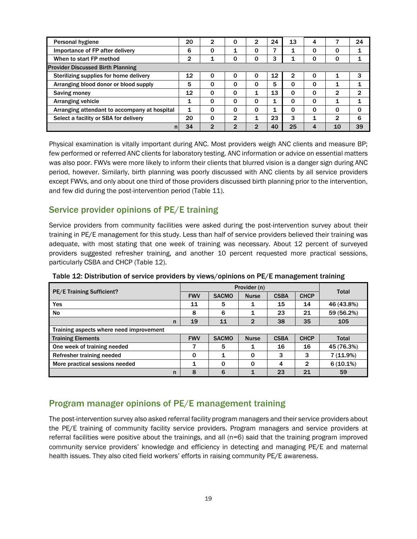| Personal hygiene                             | 20 | 2           | 0        | $\overline{2}$ | 24 | 13 | 4        |    | 24       |
|----------------------------------------------|----|-------------|----------|----------------|----|----|----------|----|----------|
| Importance of FP after delivery              | 6  | 0           | 1        | 0              |    |    | 0        | 0  |          |
| When to start FP method                      | 2  |             | 0        | 0              | 3  |    | 0        | 0  |          |
| <b>Provider Discussed Birth Planning</b>     |    |             |          |                |    |    |          |    |          |
| Sterilizing supplies for home delivery       | 12 | $\mathbf 0$ | 0        | 0              | 12 | 2  | 0        |    | 3        |
| Arranging blood donor or blood supply        |    | 0           | 0        | 0              | 5  | Ω  | 0        |    |          |
| Saving money                                 | 12 | 0           | 0        | 1              | 13 | 0  | $\Omega$ | 2  | 2        |
| Arranging vehicle                            | 1  | $\Omega$    | $\Omega$ | 0              |    | 0  | $\Omega$ |    |          |
| Arranging attendant to accompany at hospital | 1  | $\Omega$    | $\Omega$ | 0              |    | Ω  | $\Omega$ | 0  | $\Omega$ |
| Select a facility or SBA for delivery        |    | $\mathbf 0$ | 2        | 1              | 23 | 3  |          | 2  | 6        |
| n                                            | 34 | 2           | 2        | 2              | 40 | 25 | 4        | 10 | 39       |

Physical examination is vitally important during ANC. Most providers weigh ANC clients and measure BP; few performed or referred ANC clients for laboratory testing. ANC information or advice on essential matters was also poor. FWVs were more likely to inform their clients that blurred vision is a danger sign during ANC period, however. Similarly, birth planning was poorly discussed with ANC clients by all service providers except FWVs, and only about one third of those providers discussed birth planning prior to the intervention, and few did during the post-intervention period (Table 11).

#### Service provider opinions of PE/E training

Service providers from community facilities were asked during the post-intervention survey about their training in PE/E management for this study. Less than half of service providers believed their training was adequate, with most stating that one week of training was necessary. About 12 percent of surveyed providers suggested refresher training, and another 10 percent requested more practical sessions, particularly CSBA and CHCP (Table 12).

|                                         |            | <b>Total</b> |                |             |              |             |
|-----------------------------------------|------------|--------------|----------------|-------------|--------------|-------------|
| <b>PE/E Training Sufficient?</b>        | <b>FWV</b> | <b>SACMO</b> | <b>Nurse</b>   | <b>CSBA</b> | <b>CHCP</b>  |             |
| Yes                                     | 11         | 5            |                | 15          | 14           | 46 (43.8%)  |
| No                                      | 8          | 6            | 1              | 23          | 21           | 59 (56.2%)  |
| n                                       | 19         | 11           | $\overline{2}$ | 38          | 35           | 105         |
| Training aspects where need improvement |            |              |                |             |              |             |
| <b>Training Elements</b>                | <b>FWV</b> | <b>SACMO</b> | <b>Nurse</b>   | <b>CSBA</b> | <b>CHCP</b>  | Total       |
| One week of training needed             | 7          | 5            |                | 16          | 16           | 45 (76.3%)  |
| Refresher training needed               | 0          | 1            | $\Omega$       | 3           | 3            | $7(11.9\%)$ |
| More practical sessions needed          |            | $\Omega$     | $\Omega$       | 4           | $\mathbf{2}$ | $6(10.1\%)$ |
| n                                       | 8          | 6            |                | 23          | 21           | 59          |

Table 12: Distribution of service providers by views/opinions on PE/E management training

#### Program manager opinions of PE/E management training

The post-intervention survey also asked referral facility program managers and their service providers about the PE/E training of community facility service providers. Program managers and service providers at referral facilities were positive about the trainings, and all (n=6) said that the training program improved community service providers' knowledge and efficiency in detecting and managing PE/E and maternal health issues. They also cited field workers' efforts in raising community PE/E awareness.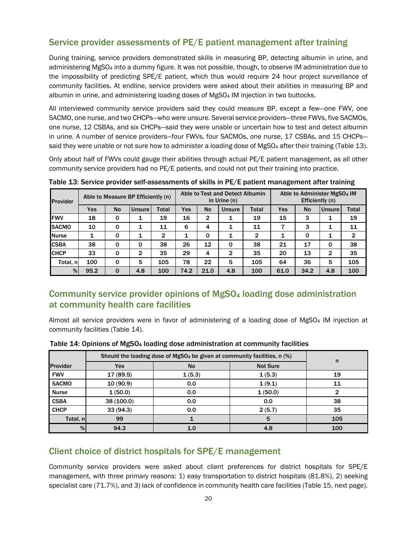#### Service provider assessments of PE/E patient management after training

During training, service providers demonstrated skills in measuring BP, detecting albumin in urine, and administering MgSO4 into a dummy figure. It was not possible, though, to observe IM administration due to the impossibility of predicting SPE/E patient, which thus would require 24 hour project surveillance of community facilities. At endline, service providers were asked about their abilities in measuring BP and albumin in urine, and administering loading doses of MgSO4 IM injection in two buttocks.

All interviewed community service providers said they could measure BP, except a few—one FWV, one SACMO, one nurse, and two CHCPs—who were unsure. Several service providers—three FWVs, five SACMOs, one nurse, 12 CSBAs, and six CHCPs—said they were unable or uncertain how to test and detect albumin in urine. A number of service providers—four FWVs, four SACMOs, one nurse, 17 CSBAs, and 15 CHCPs said they were unable or not sure how to administer a loading dose of MgSO<sub>4</sub> after their training (Table 13).

Only about half of FWVs could gauge their abilities through actual PE/E patient management, as all other community service providers had no PE/E patients, and could not put their training into practice.

| <b>Provider</b> | Able to Measure BP Efficiently (n) |             |               | Able to Test and Detect Albumin<br>in Urine $(n)$ |            |           |               | Able to Administer MgSO <sub>4</sub> IM<br>Efficiently (n) |      |             |               |                |
|-----------------|------------------------------------|-------------|---------------|---------------------------------------------------|------------|-----------|---------------|------------------------------------------------------------|------|-------------|---------------|----------------|
|                 | Yes                                | <b>No</b>   | <b>Unsure</b> | <b>Total</b>                                      | <b>Yes</b> | <b>No</b> | <b>Unsure</b> | <b>Total</b>                                               | Yes  | <b>No</b>   | <b>Unsure</b> | Total          |
| <b>IFWV</b>     | 18                                 | 0           | 1             | 19                                                | 16         | 2         | 1             | 19                                                         | 15   | 3           | 1             | 19             |
| <b>ISACMO</b>   | 10                                 | 0           | 1             | 11                                                | 6          | 4         | 1             | 11                                                         |      | 3           | 1             | 11             |
| <b>Nurse</b>    | 1                                  | 0           | 1             | 2                                                 | 1          | 0         | 1             | $\mathbf{2}$                                               | 1    | $\mathbf 0$ | 1             | $\overline{2}$ |
| <b>CSBA</b>     | 38                                 | 0           | 0             | 38                                                | 26         | 12        | $\mathbf 0$   | 38                                                         | 21   | 17          | 0             | 38             |
| <b>ICHCP</b>    | 33                                 | 0           | 2             | 35                                                | 29         | 4         | 2             | 35                                                         | 20   | 13          | 2             | 35             |
| Total, nl       | 100                                | 0           | 5             | 105                                               | 78         | 22        | 5             | 105                                                        | 64   | 36          | 5             | 105            |
| %               | 95.2                               | $\mathbf 0$ | 4.8           | 100                                               | 74.2       | 21.0      | 4.8           | 100                                                        | 61.0 | 34.2        | 4.8           | 100            |

Table 13: Service provider self-assessments of skills in PE/E patient management after training

#### Community service provider opinions of MgSO4 loading dose administration at community health care facilities

Almost all service providers were in favor of administering of a loading dose of MgSO4 IM injection at community facilities (Table 14).

|                 | Should the loading dose of MgSO <sub>4</sub> be given at community facilities, n (%) | n         |                 |     |
|-----------------|--------------------------------------------------------------------------------------|-----------|-----------------|-----|
| <b>Provider</b> | <b>Yes</b>                                                                           | <b>No</b> | <b>Not Sure</b> |     |
| <b>FWV</b>      | 17 (89.5)                                                                            | 1(5.3)    | 1(5.3)          | 19  |
| <b>SACMO</b>    | 10(90.9)                                                                             | 0.0       | 1(9.1)          | 11  |
| <b>Nurse</b>    | 1(50.0)                                                                              | 0.0       | 1(50.0)         |     |
| <b>CSBA</b>     | 38(100.0)                                                                            | 0.0       | 0.0             | 38  |
| <b>CHCP</b>     | 33(94.3)                                                                             | 0.0       | 2(5.7)          | 35  |
| Total, n        | 99                                                                                   |           | 5               | 105 |
| %               | 94.3                                                                                 | 1.0       | 4.8             | 100 |

Table 14: Opinions of MgSO4 loading dose administration at community facilities

#### Client choice of district hospitals for SPE/E management

Community service providers were asked about client preferences for district hospitals for SPE/E management, with three primary reasons: 1) easy transportation to district hospitals (81.8%), 2) seeking specialist care (71.7%), and 3) lack of confidence in community health care facilities (Table 15, next page).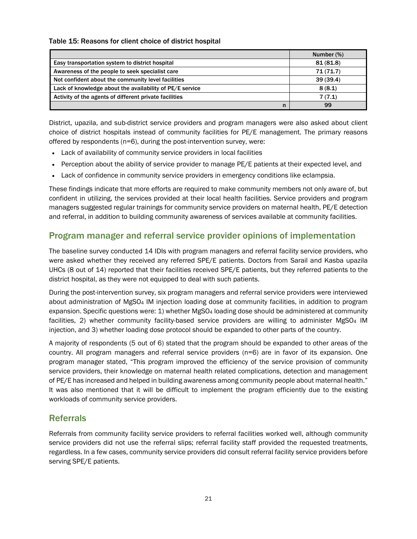#### Table 15: Reasons for client choice of district hospital

|                                                          | Number (%) |
|----------------------------------------------------------|------------|
| Easy transportation system to district hospital          | 81 (81.8)  |
| Awareness of the people to seek specialist care          | 71(71.7)   |
| Not confident about the community level facilities       | 39(39.4)   |
| Lack of knowledge about the availability of PE/E service | 8(8.1)     |
| Activity of the agents of different private facilities   | 7(7.1)     |
| n                                                        | 99         |

District, upazila, and sub-district service providers and program managers were also asked about client choice of district hospitals instead of community facilities for PE/E management. The primary reasons offered by respondents (n=6), during the post-intervention survey, were:

- Lack of availability of community service providers in local facilities
- Perception about the ability of service provider to manage PE/E patients at their expected level, and
- Lack of confidence in community service providers in emergency conditions like eclampsia.

These findings indicate that more efforts are required to make community members not only aware of, but confident in utilizing, the services provided at their local health facilities. Service providers and program managers suggested regular trainings for community service providers on maternal health, PE/E detection and referral, in addition to building community awareness of services available at community facilities.

#### Program manager and referral service provider opinions of implementation

The baseline survey conducted 14 IDIs with program managers and referral facility service providers, who were asked whether they received any referred SPE/E patients. Doctors from Sarail and Kasba upazila UHCs (8 out of 14) reported that their facilities received SPE/E patients, but they referred patients to the district hospital, as they were not equipped to deal with such patients.

During the post-intervention survey, six program managers and referral service providers were interviewed about administration of MgSO4 IM injection loading dose at community facilities, in addition to program expansion. Specific questions were: 1) whether MgSO<sub>4</sub> loading dose should be administered at community facilities, 2) whether community facility-based service providers are willing to administer MgSO4 IM injection, and 3) whether loading dose protocol should be expanded to other parts of the country.

A majority of respondents (5 out of 6) stated that the program should be expanded to other areas of the country. All program managers and referral service providers (n=6) are in favor of its expansion. One program manager stated, "This program improved the efficiency of the service provision of community service providers, their knowledge on maternal health related complications, detection and management of PE/E has increased and helped in building awareness among community people about maternal health." It was also mentioned that it will be difficult to implement the program efficiently due to the existing workloads of community service providers.

#### Referrals

Referrals from community facility service providers to referral facilities worked well, although community service providers did not use the referral slips; referral facility staff provided the requested treatments, regardless. In a few cases, community service providers did consult referral facility service providers before serving SPE/E patients.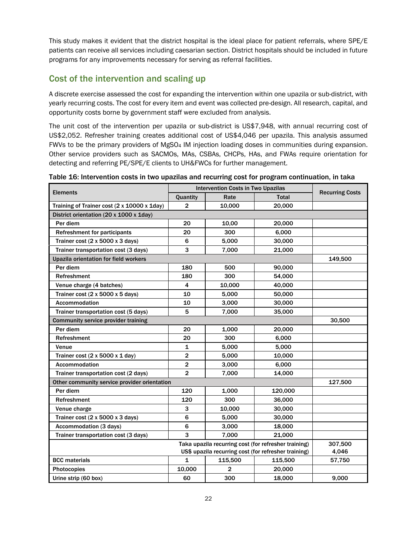This study makes it evident that the district hospital is the ideal place for patient referrals, where SPE/E patients can receive all services including caesarian section. District hospitals should be included in future programs for any improvements necessary for serving as referral facilities.

#### Cost of the intervention and scaling up

A discrete exercise assessed the cost for expanding the intervention within one upazila or sub-district, with yearly recurring costs. The cost for every item and event was collected pre-design. All research, capital, and opportunity costs borne by government staff were excluded from analysis.

The unit cost of the intervention per upazila or sub-district is US\$7,948, with annual recurring cost of US\$2,052. Refresher training creates additional cost of US\$4,046 per upazila. This analysis assumed FWVs to be the primary providers of MgSO4 IM injection loading doses in communities during expansion. Other service providers such as SACMOs, MAs, CSBAs, CHCPs, HAs, and FWAs require orientation for detecting and referring PE/SPE/E clients to UH&FWCs for further management.

|                                                      | <b>Intervention Costs in Two Upazilas</b> | <b>Recurring Costs</b> |         |         |
|------------------------------------------------------|-------------------------------------------|------------------------|---------|---------|
| <b>Elements</b>                                      | Quantity                                  | Rate                   | Total   |         |
| Training of Trainer cost (2 x 10000 x 1day)          | $\overline{2}$                            | 10,000                 | 20,000  |         |
| District orientation (20 x 1000 x 1day)              |                                           |                        |         |         |
| Per diem                                             | 20                                        | 10,00                  | 20,000  |         |
| <b>Refreshment for participants</b>                  | 20                                        | 300                    | 6,000   |         |
| Trainer cost $(2 \times 5000 \times 3 \text{ days})$ | 6                                         | 5,000                  | 30,000  |         |
| Trainer transportation cost (3 days)                 | 3                                         | 7.000                  | 21,000  |         |
| Upazila orientation for field workers                |                                           |                        |         | 149,500 |
| Per diem                                             | 180                                       | 500                    | 90,000  |         |
| Refreshment                                          | 180                                       | 300                    | 54,000  |         |
| Venue charge (4 batches)                             | 4                                         | 10,000                 | 40,000  |         |
| Trainer cost $(2 \times 5000 \times 5 \text{ days})$ | 10                                        | 5,000                  | 50,000  |         |
| Accommodation                                        | 10                                        | 3,000                  | 30,000  |         |
| Trainer transportation cost (5 days)                 | 5                                         | 7,000                  | 35,000  |         |
| Community service provider training                  |                                           |                        |         | 30,500  |
| Per diem                                             | 20                                        | 1,000                  | 20,000  |         |
| Refreshment                                          | 20                                        | 300                    | 6,000   |         |
| Venue                                                | $\mathbf{1}$                              | 5,000                  | 5,000   |         |
| Trainer cost $(2 \times 5000 \times 1$ day)          | $\overline{2}$                            | 5,000                  | 10,000  |         |
| Accommodation                                        | $\mathbf 2$                               | 3,000                  | 6,000   |         |
| Trainer transportation cost (2 days)                 | $\overline{\mathbf{2}}$                   | 7,000                  | 14,000  |         |
| Other community service provider orientation         |                                           |                        |         | 127,500 |
| Per diem                                             | 120                                       | 1,000                  | 120,000 |         |
| Refreshment                                          | 120                                       | 300                    | 36,000  |         |
| Venue charge                                         | 3                                         | 10,000                 | 30,000  |         |
| Trainer cost $(2 \times 5000 \times 3 \text{ days})$ | 6                                         | 5,000                  | 30,000  |         |
| Accommodation (3 days)                               | 6                                         | 3,000                  | 18,000  |         |
| Trainer transportation cost (3 days)                 | 3                                         | 7.000                  | 21,000  |         |
|                                                      | 307,500                                   |                        |         |         |
|                                                      | 4,046                                     |                        |         |         |
| <b>BCC</b> materials                                 | $\mathbf 1$                               | 115,500                | 115,500 | 57,750  |
| Photocopies                                          | 10,000                                    | $\overline{2}$         | 20,000  |         |
| Urine strip (60 box)                                 | 60                                        | 300                    | 18,000  | 9,000   |

Table 16: Intervention costs in two upazilas and recurring cost for program continuation, in taka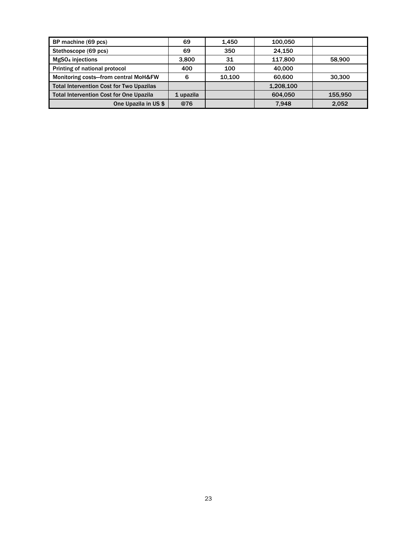| BP machine (69 pcs)                             | 69        | 1.450  | 100.050   |         |
|-------------------------------------------------|-----------|--------|-----------|---------|
| Stethoscope (69 pcs)                            | 69        | 350    | 24.150    |         |
| MgSO <sub>4</sub> injections                    | 3.800     | 31     | 117.800   | 58,900  |
| Printing of national protocol                   | 400       | 100    | 40.000    |         |
| Monitoring costs-from central MoH&FW            | 6         | 10.100 | 60,600    | 30,300  |
| <b>Total Intervention Cost for Two Upazilas</b> |           |        | 1,208,100 |         |
| <b>Total Intervention Cost for One Upazila</b>  | 1 upazila |        | 604.050   | 155.950 |
| One Upazila in US \$                            | @76       |        | 7.948     | 2,052   |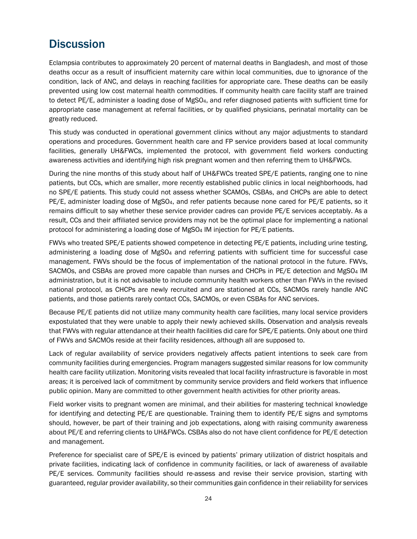### **Discussion**

Eclampsia contributes to approximately 20 percent of maternal deaths in Bangladesh, and most of those deaths occur as a result of insufficient maternity care within local communities, due to ignorance of the condition, lack of ANC, and delays in reaching facilities for appropriate care. These deaths can be easily prevented using low cost maternal health commodities. If community health care facility staff are trained to detect PE/E, administer a loading dose of MgSO4, and refer diagnosed patients with sufficient time for appropriate case management at referral facilities, or by qualified physicians, perinatal mortality can be greatly reduced.

This study was conducted in operational government clinics without any major adjustments to standard operations and procedures. Government health care and FP service providers based at local community facilities, generally UH&FWCs, implemented the protocol, with government field workers conducting awareness activities and identifying high risk pregnant women and then referring them to UH&FWCs.

During the nine months of this study about half of UH&FWCs treated SPE/E patients, ranging one to nine patients, but CCs, which are smaller, more recently established public clinics in local neighborhoods, had no SPE/E patients. This study could not assess whether SCAMOs, CSBAs, and CHCPs are able to detect PE/E, administer loading dose of MgSO4, and refer patients because none cared for PE/E patients, so it remains difficult to say whether these service provider cadres can provide PE/E services acceptably. As a result, CCs and their affiliated service providers may not be the optimal place for implementing a national protocol for administering a loading dose of MgSO4 IM injection for PE/E patients.

FWVs who treated SPE/E patients showed competence in detecting PE/E patients, including urine testing, administering a loading dose of MgSO4 and referring patients with sufficient time for successful case management. FWVs should be the focus of implementation of the national protocol in the future. FWVs, SACMOs, and CSBAs are proved more capable than nurses and CHCPs in PE/E detection and MgSO<sub>4</sub> IM administration, but it is not advisable to include community health workers other than FWVs in the revised national protocol, as CHCPs are newly recruited and are stationed at CCs, SACMOs rarely handle ANC patients, and those patients rarely contact CCs, SACMOs, or even CSBAs for ANC services.

Because PE/E patients did not utilize many community health care facilities, many local service providers expostulated that they were unable to apply their newly achieved skills. Observation and analysis reveals that FWVs with regular attendance at their health facilities did care for SPE/E patients. Only about one third of FWVs and SACMOs reside at their facility residences, although all are supposed to.

Lack of regular availability of service providers negatively affects patient intentions to seek care from community facilities during emergencies. Program managers suggested similar reasons for low community health care facility utilization. Monitoring visits revealed that local facility infrastructure is favorable in most areas; it is perceived lack of commitment by community service providers and field workers that influence public opinion. Many are committed to other government health activities for other priority areas.

Field worker visits to pregnant women are minimal, and their abilities for mastering technical knowledge for identifying and detecting PE/E are questionable. Training them to identify PE/E signs and symptoms should, however, be part of their training and job expectations, along with raising community awareness about PE/E and referring clients to UH&FWCs. CSBAs also do not have client confidence for PE/E detection and management.

Preference for specialist care of SPE/E is evinced by patients' primary utilization of district hospitals and private facilities, indicating lack of confidence in community facilities, or lack of awareness of available PE/E services. Community facilities should re-assess and revise their service provision, starting with guaranteed, regular provider availability, so their communities gain confidence in their reliability for services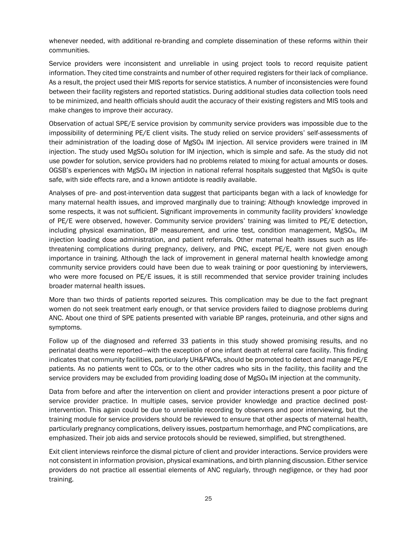whenever needed, with additional re-branding and complete dissemination of these reforms within their communities.

Service providers were inconsistent and unreliable in using project tools to record requisite patient information. They cited time constraints and number of other required registers for their lack of compliance. As a result, the project used their MIS reports for service statistics. A number of inconsistencies were found between their facility registers and reported statistics. During additional studies data collection tools need to be minimized, and health officials should audit the accuracy of their existing registers and MIS tools and make changes to improve their accuracy.

Observation of actual SPE/E service provision by community service providers was impossible due to the impossibility of determining PE/E client visits. The study relied on service providers' self-assessments of their administration of the loading dose of MgSO<sub>4</sub> IM injection. All service providers were trained in IM injection. The study used MgSO4 solution for IM injection, which is simple and safe. As the study did not use powder for solution, service providers had no problems related to mixing for actual amounts or doses. OGSB's experiences with MgSO4 IM injection in national referral hospitals suggested that MgSO4 is quite safe, with side effects rare, and a known antidote is readily available.

Analyses of pre- and post-intervention data suggest that participants began with a lack of knowledge for many maternal health issues, and improved marginally due to training: Although knowledge improved in some respects, it was not sufficient. Significant improvements in community facility providers' knowledge of PE/E were observed, however. Community service providers' training was limited to PE/E detection, including physical examination, BP measurement, and urine test, condition management, MgSO4, IM injection loading dose administration, and patient referrals. Other maternal health issues such as lifethreatening complications during pregnancy, delivery, and PNC, except PE/E, were not given enough importance in training. Although the lack of improvement in general maternal health knowledge among community service providers could have been due to weak training or poor questioning by interviewers, who were more focused on PE/E issues, it is still recommended that service provider training includes broader maternal health issues.

More than two thirds of patients reported seizures. This complication may be due to the fact pregnant women do not seek treatment early enough, or that service providers failed to diagnose problems during ANC. About one third of SPE patients presented with variable BP ranges, proteinuria, and other signs and symptoms.

Follow up of the diagnosed and referred 33 patients in this study showed promising results, and no perinatal deaths were reported—with the exception of one infant death at referral care facility. This finding indicates that community facilities, particularly UH&FWCs, should be promoted to detect and manage PE/E patients. As no patients went to CCs, or to the other cadres who sits in the facility, this facility and the service providers may be excluded from providing loading dose of MgSO<sub>4</sub> IM injection at the community.

Data from before and after the intervention on client and provider interactions present a poor picture of service provider practice. In multiple cases, service provider knowledge and practice declined postintervention. This again could be due to unreliable recording by observers and poor interviewing, but the training module for service providers should be reviewed to ensure that other aspects of maternal health, particularly pregnancy complications, delivery issues, postpartum hemorrhage, and PNC complications, are emphasized. Their job aids and service protocols should be reviewed, simplified, but strengthened.

Exit client interviews reinforce the dismal picture of client and provider interactions. Service providers were not consistent in information provision, physical examinations, and birth planning discussion. Either service providers do not practice all essential elements of ANC regularly, through negligence, or they had poor training.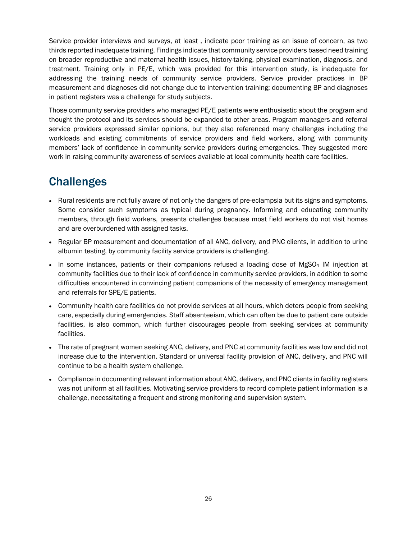Service provider interviews and surveys, at least , indicate poor training as an issue of concern, as two thirds reported inadequate training. Findings indicate that community service providers based need training on broader reproductive and maternal health issues, history-taking, physical examination, diagnosis, and treatment. Training only in PE/E, which was provided for this intervention study, is inadequate for addressing the training needs of community service providers. Service provider practices in BP measurement and diagnoses did not change due to intervention training; documenting BP and diagnoses in patient registers was a challenge for study subjects.

Those community service providers who managed PE/E patients were enthusiastic about the program and thought the protocol and its services should be expanded to other areas. Program managers and referral service providers expressed similar opinions, but they also referenced many challenges including the workloads and existing commitments of service providers and field workers, along with community members' lack of confidence in community service providers during emergencies. They suggested more work in raising community awareness of services available at local community health care facilities.

# **Challenges**

- Rural residents are not fully aware of not only the dangers of pre-eclampsia but its signs and symptoms. Some consider such symptoms as typical during pregnancy. Informing and educating community members, through field workers, presents challenges because most field workers do not visit homes and are overburdened with assigned tasks.
- Regular BP measurement and documentation of all ANC, delivery, and PNC clients, in addition to urine albumin testing, by community facility service providers is challenging.
- In some instances, patients or their companions refused a loading dose of MgSO4 IM injection at community facilities due to their lack of confidence in community service providers, in addition to some difficulties encountered in convincing patient companions of the necessity of emergency management and referrals for SPE/E patients.
- Community health care facilities do not provide services at all hours, which deters people from seeking care, especially during emergencies. Staff absenteeism, which can often be due to patient care outside facilities, is also common, which further discourages people from seeking services at community facilities.
- The rate of pregnant women seeking ANC, delivery, and PNC at community facilities was low and did not increase due to the intervention. Standard or universal facility provision of ANC, delivery, and PNC will continue to be a health system challenge.
- Compliance in documenting relevant information about ANC, delivery, and PNC clients in facility registers was not uniform at all facilities. Motivating service providers to record complete patient information is a challenge, necessitating a frequent and strong monitoring and supervision system.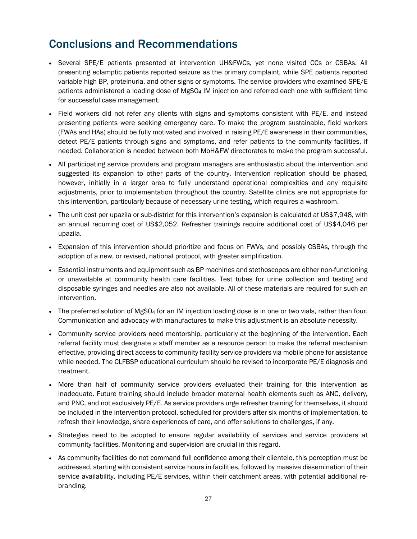# Conclusions and Recommendations

- Several SPE/E patients presented at intervention UH&FWCs, yet none visited CCs or CSBAs. All presenting eclamptic patients reported seizure as the primary complaint, while SPE patients reported variable high BP, proteinuria, and other signs or symptoms. The service providers who examined SPE/E patients administered a loading dose of MgSO4 IM injection and referred each one with sufficient time for successful case management.
- Field workers did not refer any clients with signs and symptoms consistent with PE/E, and instead presenting patients were seeking emergency care. To make the program sustainable, field workers (FWAs and HAs) should be fully motivated and involved in raising PE/E awareness in their communities, detect PE/E patients through signs and symptoms, and refer patients to the community facilities, if needed. Collaboration is needed between both MoH&FW directorates to make the program successful.
- All participating service providers and program managers are enthusiastic about the intervention and suggested its expansion to other parts of the country. Intervention replication should be phased, however, initially in a larger area to fully understand operational complexities and any requisite adjustments, prior to implementation throughout the country. Satellite clinics are not appropriate for this intervention, particularly because of necessary urine testing, which requires a washroom.
- The unit cost per upazila or sub-district for this intervention's expansion is calculated at US\$7,948, with an annual recurring cost of US\$2,052. Refresher trainings require additional cost of US\$4,046 per upazila.
- Expansion of this intervention should prioritize and focus on FWVs, and possibly CSBAs, through the adoption of a new, or revised, national protocol, with greater simplification.
- Essential instruments and equipment such as BP machines and stethoscopes are either non-functioning or unavailable at community health care facilities. Test tubes for urine collection and testing and disposable syringes and needles are also not available. All of these materials are required for such an intervention.
- The preferred solution of MgSO<sub>4</sub> for an IM injection loading dose is in one or two vials, rather than four. Communication and advocacy with manufactures to make this adjustment is an absolute necessity.
- Community service providers need mentorship, particularly at the beginning of the intervention. Each referral facility must designate a staff member as a resource person to make the referral mechanism effective, providing direct access to community facility service providers via mobile phone for assistance while needed. The CLFBSP educational curriculum should be revised to incorporate PE/E diagnosis and treatment.
- More than half of community service providers evaluated their training for this intervention as inadequate. Future training should include broader maternal health elements such as ANC, delivery, and PNC, and not exclusively PE/E. As service providers urge refresher training for themselves, it should be included in the intervention protocol, scheduled for providers after six months of implementation, to refresh their knowledge, share experiences of care, and offer solutions to challenges, if any.
- Strategies need to be adopted to ensure regular availability of services and service providers at community facilities. Monitoring and supervision are crucial in this regard.
- As community facilities do not command full confidence among their clientele, this perception must be addressed, starting with consistent service hours in facilities, followed by massive dissemination of their service availability, including PE/E services, within their catchment areas, with potential additional re-branding.